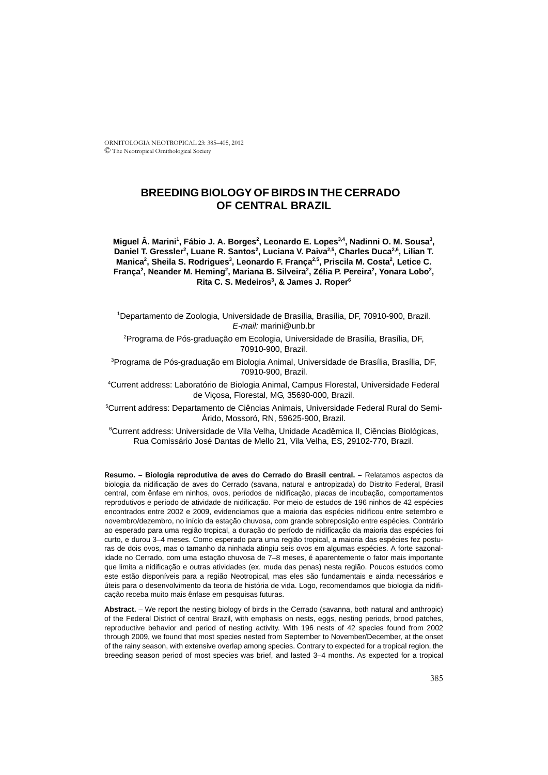ORNITOLOGIA NEOTROPICAL 23: 385–405, 2012 © The Neotropical Ornithological Society

# **BREEDING BIOLOGY OF BIRDS IN THE CERRADO OF CENTRAL BRAZIL**

Miguel Â. Marini<sup>1</sup>, Fábio J. A. Borges<sup>2</sup>, Leonardo E. Lopes<sup>3,4</sup>, Nadinni O. M. Sousa<sup>3</sup>, Daniel T. Gressler<sup>2</sup>, Luane R. Santos<sup>2</sup>, Luciana V. Paiva<sup>2,5</sup>, Charles Duca<sup>2,6</sup>, Lilian T. Manica<sup>2</sup>, Sheila S. Rodrigues<sup>3</sup>, Leonardo F. França<sup>2,5</sup>, Priscila M. Costa<sup>2</sup>, Letice C. França<sup>2</sup>, Neander M. Heming<sup>2</sup>, Mariana B. Silveira<sup>2</sup>, Zélia P. Pereira<sup>2</sup>, Yonara Lobo<sup>2</sup>, Rita C. S. Medeiros<sup>3</sup>, & James J. Roper<sup>6</sup>

1 Departamento de Zoologia, Universidade de Brasília, Brasília, DF, 70910-900, Brazil. *E-mail:* marini@unb.br

2 Programa de Pós-graduação em Ecologia, Universidade de Brasília, Brasília, DF, 70910-900, Brazil.

<sup>3</sup>Programa de Pós-graduação em Biologia Animal, Universidade de Brasília, Brasília, DF, 70910-900, Brazil.

4 Current address: Laboratório de Biologia Animal, Campus Florestal, Universidade Federal de Viçosa, Florestal, MG, 35690-000, Brazil.

5 Current address: Departamento de Ciências Animais, Universidade Federal Rural do Semi-Árido, Mossoró, RN, 59625-900, Brazil.

6 Current address: Universidade de Vila Velha, Unidade Acadêmica II, Ciências Biológicas, Rua Comissário José Dantas de Mello 21, Vila Velha, ES, 29102-770, Brazil.

**Resumo. – Biologia reprodutiva de aves do Cerrado do Brasil central. –** Relatamos aspectos da biologia da nidificação de aves do Cerrado (savana, natural e antropizada) do Distrito Federal, Brasil central, com ênfase em ninhos, ovos, períodos de nidificação, placas de incubação, comportamentos reprodutivos e período de atividade de nidificação. Por meio de estudos de 196 ninhos de 42 espécies encontrados entre 2002 e 2009, evidenciamos que a maioria das espécies nidificou entre setembro e novembro/dezembro, no início da estação chuvosa, com grande sobreposição entre espécies. Contrário ao esperado para uma região tropical, a duração do período de nidificação da maioria das espécies foi curto, e durou 3–4 meses. Como esperado para uma região tropical, a maioria das espécies fez posturas de dois ovos, mas o tamanho da ninhada atingiu seis ovos em algumas espécies. A forte sazonalidade no Cerrado, com uma estação chuvosa de 7–8 meses, é aparentemente o fator mais importante que limita a nidificação e outras atividades (ex. muda das penas) nesta região. Poucos estudos como este estão disponíveis para a região Neotropical, mas eles são fundamentais e ainda necessários e úteis para o desenvolvimento da teoria de história de vida. Logo, recomendamos que biologia da nidificação receba muito mais ênfase em pesquisas futuras.

**Abstract.** – We report the nesting biology of birds in the Cerrado (savanna, both natural and anthropic) of the Federal District of central Brazil, with emphasis on nests, eggs, nesting periods, brood patches, reproductive behavior and period of nesting activity. With 196 nests of 42 species found from 2002 through 2009, we found that most species nested from September to November/December, at the onset of the rainy season, with extensive overlap among species. Contrary to expected for a tropical region, the breeding season period of most species was brief, and lasted 3–4 months. As expected for a tropical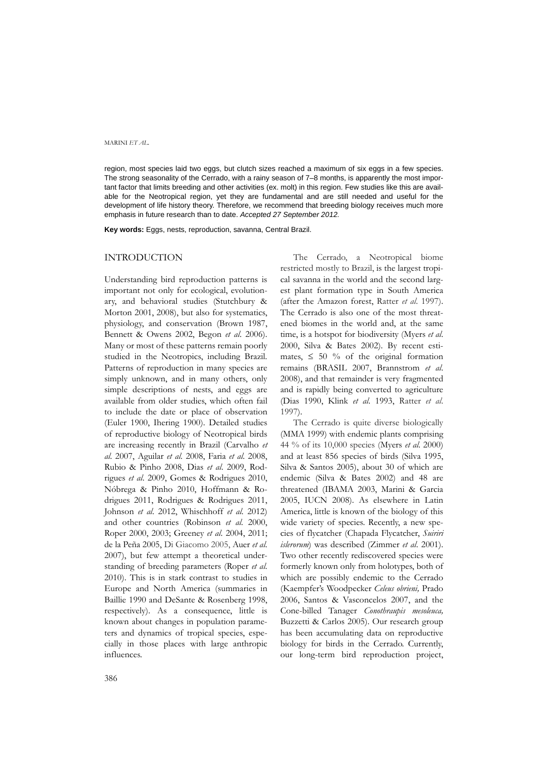region, most species laid two eggs, but clutch sizes reached a maximum of six eggs in a few species. The strong seasonality of the Cerrado, with a rainy season of 7–8 months, is apparently the most important factor that limits breeding and other activities (ex. molt) in this region. Few studies like this are available for the Neotropical region, yet they are fundamental and are still needed and useful for the development of life history theory. Therefore, we recommend that breeding biology receives much more emphasis in future research than to date. *Accepted 27 September 2012.*

**Key words:** Eggs, nests, reproduction, savanna, Central Brazil.

### INTRODUCTION

Understanding bird reproduction patterns is important not only for ecological, evolutionary, and behavioral studies (Stutchbury & Morton 2001, 2008), but also for systematics, physiology, and conservation (Brown 1987, Bennett & Owens 2002, Begon *et al*. 2006). Many or most of these patterns remain poorly studied in the Neotropics, including Brazil. Patterns of reproduction in many species are simply unknown, and in many others, only simple descriptions of nests, and eggs are available from older studies, which often fail to include the date or place of observation (Euler 1900, Ihering 1900). Detailed studies of reproductive biology of Neotropical birds are increasing recently in Brazil (Carvalho *et al*. 2007, Aguilar *et al*. 2008, Faria *et al*. 2008, Rubio & Pinho 2008, Dias *et al*. 2009, Rodrigues *et al*. 2009, Gomes & Rodrigues 2010, Nóbrega & Pinho 2010, Hoffmann & Rodrigues 2011, Rodrigues & Rodrigues 2011, Johnson *et al*. 2012, Whischhoff *et al*. 2012) and other countries (Robinson *et al*. 2000, Roper 2000, 2003; Greeney *et al*. 2004, 2011; de la Peña 2005, Di Giacomo 2005, Auer *et al*. 2007), but few attempt a theoretical understanding of breeding parameters (Roper *et al*. 2010). This is in stark contrast to studies in Europe and North America (summaries in Baillie 1990 and DeSante & Rosenberg 1998, respectively). As a consequence, little is known about changes in population parameters and dynamics of tropical species, especially in those places with large anthropic influences.

The Cerrado, a Neotropical biome restricted mostly to Brazil, is the largest tropical savanna in the world and the second largest plant formation type in South America (after the Amazon forest, Ratter *et al*. 1997). The Cerrado is also one of the most threatened biomes in the world and, at the same time, is a hotspot for biodiversity (Myers *et al*. 2000, Silva & Bates 2002). By recent estimates,  $\leq 50$  % of the original formation remains (BRASIL 2007, Brannstrom *et al*. 2008), and that remainder is very fragmented and is rapidly being converted to agriculture (Dias 1990, Klink *et al*. 1993, Ratter *et al*. 1997).

The Cerrado is quite diverse biologically (MMA 1999) with endemic plants comprising 44 % of its 10,000 species (Myers *et al*. 2000) and at least 856 species of birds (Silva 1995, Silva & Santos 2005), about 30 of which are endemic (Silva & Bates 2002) and 48 are threatened (IBAMA 2003, Marini & Garcia 2005, IUCN 2008). As elsewhere in Latin America, little is known of the biology of this wide variety of species. Recently, a new species of flycatcher (Chapada Flycatcher, *Suiriri islerorum*) was described (Zimmer *et al*. 2001). Two other recently rediscovered species were formerly known only from holotypes, both of which are possibly endemic to the Cerrado (Kaempfer's Woodpecker *Celeus obrieni,* Prado 2006, Santos & Vasconcelos 2007, and the Cone-billed Tanager *Conothraupis mesoleuca,* Buzzetti & Carlos 2005). Our research group has been accumulating data on reproductive biology for birds in the Cerrado. Currently, our long-term bird reproduction project,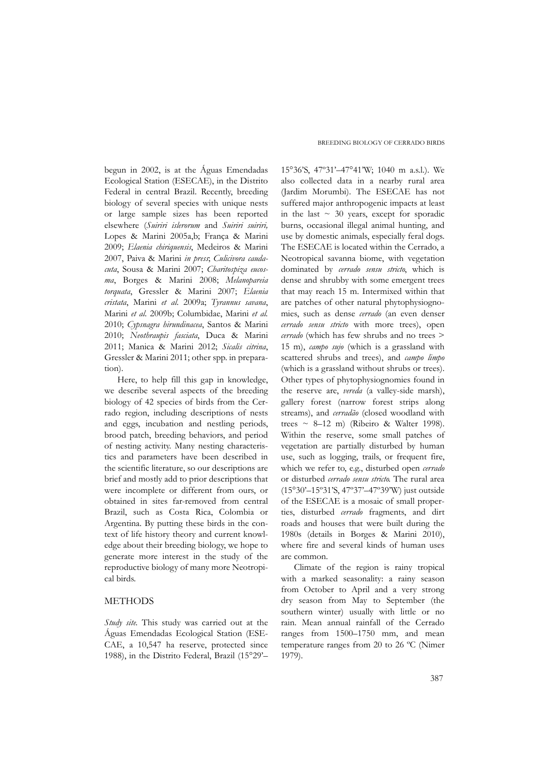begun in 2002, is at the Águas Emendadas Ecological Station (ESECAE), in the Distrito Federal in central Brazil. Recently, breeding biology of several species with unique nests or large sample sizes has been reported elsewhere (*Suiriri islerorum* and *Suiriri suiriri,* Lopes & Marini 2005a,b; França & Marini 2009; *Elaenia chiriquensis*, Medeiros & Marini 2007, Paiva & Marini *in press*; *Culicivora caudacuta*, Sousa & Marini 2007; *Charitospiza eucosma*, Borges & Marini 2008; *Melanopareia torquata*, Gressler & Marini 2007; *Elaenia cristata*, Marini *et al*. 2009a; *Tyrannus savana*, Marini *et al*. 2009b; Columbidae, Marini *et al.* 2010; *Cypsnagra hirundinacea*, Santos & Marini 2010; *Neothraupis fasciata*, Duca & Marini 2011; Manica & Marini 2012; *Sicalis citrina*, Gressler & Marini 2011; other spp. in preparation).

Here, to help fill this gap in knowledge, we describe several aspects of the breeding biology of 42 species of birds from the Cerrado region, including descriptions of nests and eggs, incubation and nestling periods, brood patch, breeding behaviors, and period of nesting activity. Many nesting characteristics and parameters have been described in the scientific literature, so our descriptions are brief and mostly add to prior descriptions that were incomplete or different from ours, or obtained in sites far-removed from central Brazil, such as Costa Rica, Colombia or Argentina. By putting these birds in the context of life history theory and current knowledge about their breeding biology, we hope to generate more interest in the study of the reproductive biology of many more Neotropical birds.

## **METHODS**

*Study site.* This study was carried out at the Águas Emendadas Ecological Station (ESE-CAE, a 10,547 ha reserve, protected since 1988), in the Distrito Federal, Brazil (15°29'– 15°36'S, 47º31'–47°41'W; 1040 m a.s.l.). We also collected data in a nearby rural area (Jardim Morumbi). The ESECAE has not suffered major anthropogenic impacts at least in the last  $\sim$  30 years, except for sporadic burns, occasional illegal animal hunting, and use by domestic animals, especially feral dogs. The ESECAE is located within the Cerrado, a Neotropical savanna biome, with vegetation dominated by *cerrado sensu stricto*, which is dense and shrubby with some emergent trees that may reach 15 m. Intermixed within that are patches of other natural phytophysiognomies, such as dense *cerrado* (an even denser *cerrado sensu stricto* with more trees), open *cerrado* (which has few shrubs and no trees > 15 m), *campo sujo* (which is a grassland with scattered shrubs and trees), and *campo limpo* (which is a grassland without shrubs or trees). Other types of phytophysiognomies found in the reserve are, *vereda* (a valley-side marsh), gallery forest (narrow forest strips along streams), and *cerradão* (closed woodland with trees ~ 8-12 m) (Ribeiro & Walter 1998). Within the reserve, some small patches of vegetation are partially disturbed by human use, such as logging, trails, or frequent fire, which we refer to, e.g., disturbed open *cerrado* or disturbed *cerrado sensu stricto*. The rural area (15°30'–15º31'S, 47º37'–47º39'W) just outside of the ESECAE is a mosaic of small properties, disturbed *cerrado* fragments, and dirt roads and houses that were built during the 1980s (details in Borges & Marini 2010), where fire and several kinds of human uses are common.

Climate of the region is rainy tropical with a marked seasonality: a rainy season from October to April and a very strong dry season from May to September (the southern winter) usually with little or no rain. Mean annual rainfall of the Cerrado ranges from 1500–1750 mm, and mean temperature ranges from 20 to 26 ºC (Nimer 1979).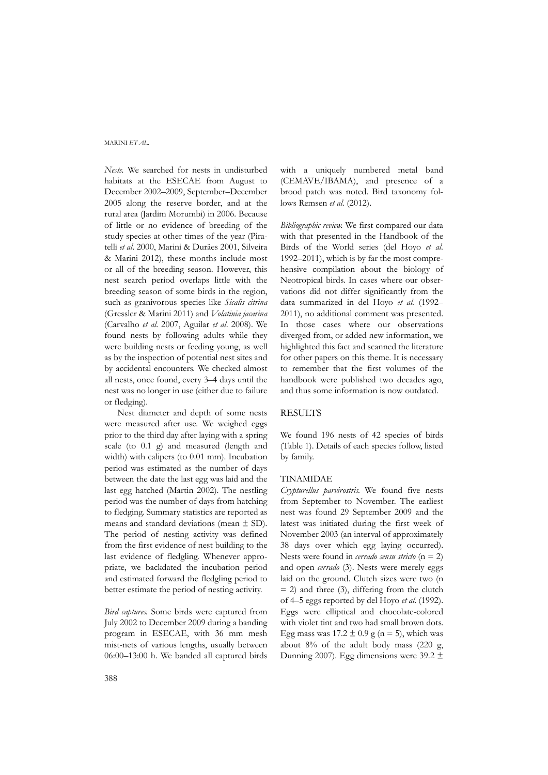*Nests.* We searched for nests in undisturbed habitats at the ESECAE from August to December 2002–2009, September–December 2005 along the reserve border, and at the rural area (Jardim Morumbi) in 2006. Because of little or no evidence of breeding of the study species at other times of the year (Piratelli *et al*. 2000, Marini & Durães 2001, Silveira & Marini 2012), these months include most or all of the breeding season. However, this nest search period overlaps little with the breeding season of some birds in the region, such as granivorous species like *Sicalis citrina* (Gressler & Marini 2011) and *Volatinia jacarina* (Carvalho *et al*. 2007, Aguilar *et al*. 2008). We found nests by following adults while they were building nests or feeding young, as well as by the inspection of potential nest sites and by accidental encounters. We checked almost all nests, once found, every 3–4 days until the nest was no longer in use (either due to failure or fledging).

Nest diameter and depth of some nests were measured after use. We weighed eggs prior to the third day after laying with a spring scale (to 0.1 g) and measured (length and width) with calipers (to 0.01 mm). Incubation period was estimated as the number of days between the date the last egg was laid and the last egg hatched (Martin 2002). The nestling period was the number of days from hatching to fledging. Summary statistics are reported as means and standard deviations (mean ± SD). The period of nesting activity was defined from the first evidence of nest building to the last evidence of fledgling. Whenever appropriate, we backdated the incubation period and estimated forward the fledgling period to better estimate the period of nesting activity.

*Bird captures.* Some birds were captured from July 2002 to December 2009 during a banding program in ESECAE, with 36 mm mesh mist-nets of various lengths, usually between 06:00–13:00 h. We banded all captured birds with a uniquely numbered metal band (CEMAVE/IBAMA), and presence of a brood patch was noted. Bird taxonomy follows Remsen *et al.* (2012).

*Bibliographic review.* We first compared our data with that presented in the Handbook of the Birds of the World series (del Hoyo *et al.* 1992–2011), which is by far the most comprehensive compilation about the biology of Neotropical birds. In cases where our observations did not differ significantly from the data summarized in del Hoyo *et al.* (1992– 2011), no additional comment was presented. In those cases where our observations diverged from, or added new information, we highlighted this fact and scanned the literature for other papers on this theme. It is necessary to remember that the first volumes of the handbook were published two decades ago, and thus some information is now outdated.

#### **RESULTS**

We found 196 nests of 42 species of birds (Table 1). Details of each species follow, listed by family.

#### TINAMIDAE

*Crypturellus parvirostris*. We found five nests from September to November. The earliest nest was found 29 September 2009 and the latest was initiated during the first week of November 2003 (an interval of approximately 38 days over which egg laying occurred). Nests were found in *cerrado sensu stricto* (n = 2) and open *cerrado* (3). Nests were merely eggs laid on the ground. Clutch sizes were two (n  $= 2$ ) and three (3), differing from the clutch of 4–5 eggs reported by del Hoyo *et al*. (1992). Eggs were elliptical and chocolate-colored with violet tint and two had small brown dots. Egg mass was  $17.2 \pm 0.9$  g (n = 5), which was about  $8\%$  of the adult body mass (220 g, Dunning 2007). Egg dimensions were 39.2  $\pm$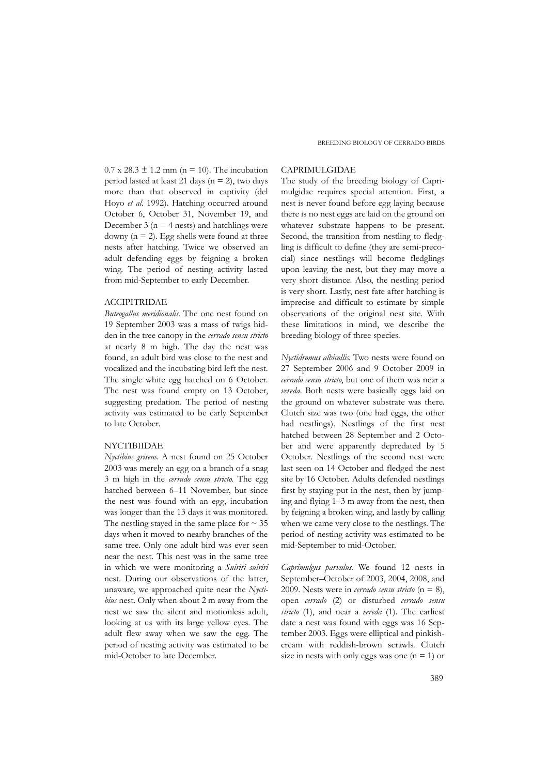$0.7$  x  $28.3 \pm 1.2$  mm (n = 10). The incubation period lasted at least 21 days ( $n = 2$ ), two days more than that observed in captivity (del Hoyo *et al*. 1992). Hatching occurred around October 6, October 31, November 19, and December 3 ( $n = 4$  nests) and hatchlings were downy ( $n = 2$ ). Egg shells were found at three nests after hatching. Twice we observed an adult defending eggs by feigning a broken wing. The period of nesting activity lasted from mid-September to early December.

#### ACCIPITRIDAE

*Buteogallus meridionalis*. The one nest found on 19 September 2003 was a mass of twigs hidden in the tree canopy in the *cerrado sensu stricto* at nearly 8 m high. The day the nest was found, an adult bird was close to the nest and vocalized and the incubating bird left the nest. The single white egg hatched on 6 October. The nest was found empty on 13 October, suggesting predation. The period of nesting activity was estimated to be early September to late October.

### NYCTIBIIDAE

*Nyctibius griseus*. A nest found on 25 October 2003 was merely an egg on a branch of a snag 3 m high in the *cerrado sensu stricto*. The egg hatched between 6–11 November, but since the nest was found with an egg, incubation was longer than the 13 days it was monitored. The nestling stayed in the same place for  $\sim$  35 days when it moved to nearby branches of the same tree. Only one adult bird was ever seen near the nest. This nest was in the same tree in which we were monitoring a *Suiriri suiriri* nest. During our observations of the latter, unaware, we approached quite near the *Nyctibius* nest. Only when about 2 m away from the nest we saw the silent and motionless adult, looking at us with its large yellow eyes. The adult flew away when we saw the egg. The period of nesting activity was estimated to be mid-October to late December.

### CAPRIMULGIDAE

The study of the breeding biology of Caprimulgidae requires special attention. First, a nest is never found before egg laying because there is no nest eggs are laid on the ground on whatever substrate happens to be present. Second, the transition from nestling to fledgling is difficult to define (they are semi-precocial) since nestlings will become fledglings upon leaving the nest, but they may move a very short distance. Also, the nestling period is very short. Lastly, nest fate after hatching is imprecise and difficult to estimate by simple observations of the original nest site. With these limitations in mind, we describe the breeding biology of three species.

*Nyctidromus albicollis*. Two nests were found on 27 September 2006 and 9 October 2009 in *cerrado sensu stricto*, but one of them was near a *vereda*. Both nests were basically eggs laid on the ground on whatever substrate was there. Clutch size was two (one had eggs, the other had nestlings). Nestlings of the first nest hatched between 28 September and 2 October and were apparently depredated by 5 October. Nestlings of the second nest were last seen on 14 October and fledged the nest site by 16 October. Adults defended nestlings first by staying put in the nest, then by jumping and flying 1–3 m away from the nest, then by feigning a broken wing, and lastly by calling when we came very close to the nestlings. The period of nesting activity was estimated to be mid-September to mid-October.

*Caprimulgus parvulus*. We found 12 nests in September–October of 2003, 2004, 2008, and 2009. Nests were in *cerrado sensu stricto*  $(n = 8)$ , open *cerrado* (2) or disturbed *cerrado sensu stricto* (1), and near a *vereda* (1). The earliest date a nest was found with eggs was 16 September 2003. Eggs were elliptical and pinkishcream with reddish-brown scrawls. Clutch size in nests with only eggs was one  $(n = 1)$  or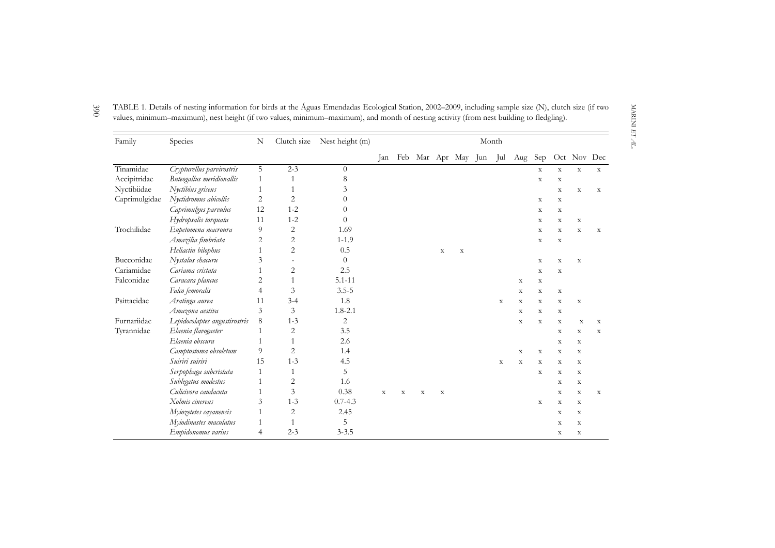| Family        | Species                       | N  | Clutch size    | Nest height (m) | Month       |             |             |             |             |     |             |             |             |             |             |             |
|---------------|-------------------------------|----|----------------|-----------------|-------------|-------------|-------------|-------------|-------------|-----|-------------|-------------|-------------|-------------|-------------|-------------|
|               |                               |    |                |                 | Jan         | Feb         |             |             | Mar Apr May | Jun | Jul         | Aug         | Sep         |             | Oct Nov Dec |             |
| Tinamidae     | Crypturellus parvirostris     | 5  | $2 - 3$        | $\Omega$        |             |             |             |             |             |     |             |             | $\mathbf X$ | $\mathbf X$ | $\mathbf X$ | $\mathbf X$ |
| Accipitridae  | Buteogallus meridionallis     | 1  | $\mathbf{1}$   | 8               |             |             |             |             |             |     |             |             | $\mathbf X$ | X           |             |             |
| Nyctibiidae   | Nyctibius griseus             | 1  | 1              | 3               |             |             |             |             |             |     |             |             |             | X           | $\mathbf X$ | X           |
| Caprimulgidae | Nyctidromus abicollis         | 2  | $\overline{2}$ | 0               |             |             |             |             |             |     |             |             | $\mathbf X$ | $\mathbf X$ |             |             |
|               | Caprimulgus parvulus          | 12 | $1 - 2$        | $\theta$        |             |             |             |             |             |     |             |             | $\mathbf X$ | X           |             |             |
|               | Hydropsalis torquata          | 11 | $1 - 2$        | $\theta$        |             |             |             |             |             |     |             |             | $\mathbf X$ | X           | $\mathbf X$ |             |
| Trochilidae   | Eupetomena macroura           | 9  | $\overline{2}$ | 1.69            |             |             |             |             |             |     |             |             | $\mathbf X$ | X           | $\mathbf x$ | X           |
|               | Amazilia fimbriata            | 2  | $\overline{2}$ | $1 - 1.9$       |             |             |             |             |             |     |             |             | $\mathbf X$ | X           |             |             |
|               | Heliactin bilophus            | 1  | $\overline{2}$ | 0.5             |             |             |             | $\mathbf X$ | $\mathbf X$ |     |             |             |             |             |             |             |
| Bucconidae    | Nystalus chacuru              | 3  | $\overline{a}$ | $\Omega$        |             |             |             |             |             |     |             |             | $\mathbf X$ | $\mathbf X$ | $\mathbf X$ |             |
| Cariamidae    | Cariama cristata              |    | $\overline{2}$ | 2.5             |             |             |             |             |             |     |             |             | $\mathbf X$ | X           |             |             |
| Falconidae    | Caracara plancus              | 2  | $\mathbf{1}$   | $5.1 - 11$      |             |             |             |             |             |     |             | $\mathbf X$ | $\mathbf X$ |             |             |             |
|               | Falco femoralis               | 4  | 3              | $3.5 - 5$       |             |             |             |             |             |     |             | $\mathbf X$ | $\mathbf X$ | $\mathbf X$ |             |             |
| Psittacidae   | Aratinga aurea                | 11 | $3 - 4$        | 1.8             |             |             |             |             |             |     | X           | X           | X           | X           | $\mathbf X$ |             |
|               | Amazona aestiva               | 3  | 3              | $1.8 - 2.1$     |             |             |             |             |             |     |             | $\mathbf X$ | X           | X           |             |             |
| Furnariidae   | Lepidocolaptes angustirostris | 8  | $1 - 3$        | $\overline{c}$  |             |             |             |             |             |     |             | $\mathbf X$ | $\mathbf X$ | X           | X           | $\mathbf X$ |
| Tyrannidae    | Elaenia flavogaster           | 1  | 2              | 3.5             |             |             |             |             |             |     |             |             |             | X           | $\mathbf X$ | $\mathbf X$ |
|               | Elaenia obscura               | 1  | $\mathbf{1}$   | 2.6             |             |             |             |             |             |     |             |             |             | X           | $\mathbf X$ |             |
|               | Camptostoma obsoletum         | 9  | $\overline{2}$ | 1.4             |             |             |             |             |             |     |             | $\mathbf X$ | $\mathbf X$ | X           | X           |             |
|               | Suiriri suiriri               | 15 | $1 - 3$        | 4.5             |             |             |             |             |             |     | $\mathbf X$ | $\mathbf X$ | $\mathbf X$ | X           | $\mathbf X$ |             |
|               | Serpophaga subcristata        | 1  | 1              | 5               |             |             |             |             |             |     |             |             | $\mathbf X$ | X           | $\mathbf X$ |             |
|               | Sublegatus modestus           | 1  | 2              | 1.6             |             |             |             |             |             |     |             |             |             | X           | $\mathbf X$ |             |
|               | Culicivora caudacuta          | 1  | 3              | 0.38            | $\mathbf X$ | $\mathbf X$ | $\mathbf X$ | $\mathbf X$ |             |     |             |             |             | X           | X           | $\mathbf X$ |
|               | Xolmis cinereus               | 3  | $1 - 3$        | $0.7 - 4.3$     |             |             |             |             |             |     |             |             | $\mathbf X$ | X           | $\mathbf X$ |             |
|               | Myiozetetes cayanensis        | 1  | $\overline{2}$ | 2.45            |             |             |             |             |             |     |             |             |             | X           | $\mathbf X$ |             |
|               | Myiodinastes maculatus        | 1  | $\mathbf{1}$   | 5               |             |             |             |             |             |     |             |             |             | $\mathbf X$ | $\mathbf X$ |             |
|               | Empidonomus varius            | 4  | $2 - 3$        | $3 - 3.5$       |             |             |             |             |             |     |             |             |             | X           | $\mathbf X$ |             |

3 9 0 TABLE 1. Details of nesting information for birds at the Águas Emendadas Ecological Station, 2002–2009, including sample size (N), clutch size (if two values, minimum–maximum), nest height (if two values, minimum–maximum), and month of nesting activity (from nest building to fledgling).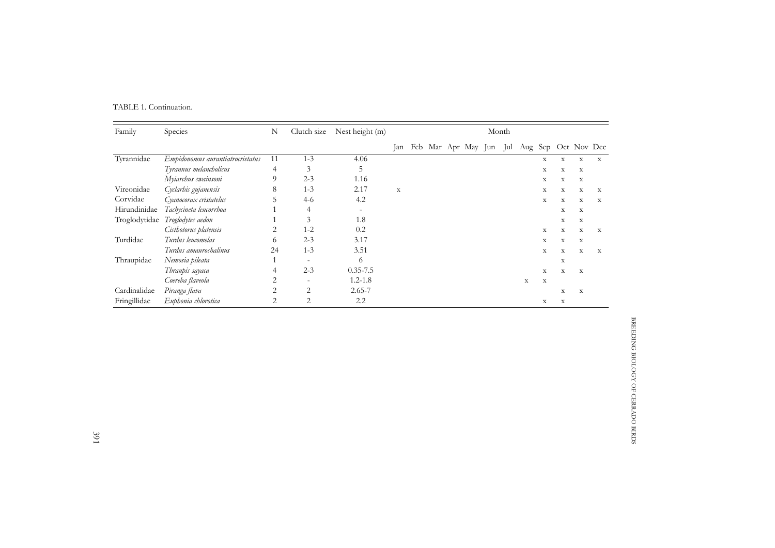| TABLE 1. Continuation. |  |  |
|------------------------|--|--|
|                        |  |  |

| Family        | Species                          | N              | Clutch size              | Nest height (m)          |             | Month |  |  |                         |  |  |             |             |             |             |                     |
|---------------|----------------------------------|----------------|--------------------------|--------------------------|-------------|-------|--|--|-------------------------|--|--|-------------|-------------|-------------|-------------|---------------------|
|               |                                  |                |                          |                          | Jan         |       |  |  | Feb Mar Apr May Jun Jul |  |  |             |             |             |             | Aug Sep Oct Nov Dec |
| Tyrannidae    | Empidonomus aurantiatrocristatus | 11             | $1 - 3$                  | 4.06                     |             |       |  |  |                         |  |  |             | $\mathbf X$ | $\mathbf X$ | X           | X                   |
|               | Tyrannus melancholicus           | 4              | 3                        | C                        |             |       |  |  |                         |  |  |             | $\mathbf X$ | $\mathbf X$ | X           |                     |
|               | Myiarchus swainsoni              | 9              | $2 - 3$                  | 1.16                     |             |       |  |  |                         |  |  |             | $\mathbf X$ | $\mathbf X$ | $\mathbf X$ |                     |
| Vireonidae    | Cyclarhis gujanensis             | 8              | $1 - 3$                  | 2.17                     | $\mathbf X$ |       |  |  |                         |  |  |             | X           | $\mathbf X$ | X           | X                   |
| Corvidae      | Cyanocorax cristatelus           | 5              | $4-6$                    | 4.2                      |             |       |  |  |                         |  |  |             | $\mathbf X$ | $\mathbf X$ | $\mathbf X$ | X                   |
| Hirundinidae  | Tachycineta leucorrhoa           |                | 4                        | $\overline{\phantom{a}}$ |             |       |  |  |                         |  |  |             |             | $\mathbf X$ | X           |                     |
| Troglodytidae | Troglodytes aedon                |                | 3                        | 1.8                      |             |       |  |  |                         |  |  |             |             | $\mathbf X$ | $\mathbf X$ |                     |
|               | Cisthotorus platensis            | 2              | $1 - 2$                  | 0.2                      |             |       |  |  |                         |  |  |             | $\mathbf X$ | $\mathbf X$ | X           | X                   |
| Turdidae      | Turdus leucomelas                | 6              | $2 - 3$                  | 3.17                     |             |       |  |  |                         |  |  |             | $\mathbf X$ | $\mathbf X$ | $\mathbf X$ |                     |
|               | Turdus amaurochalinus            | 24             | $1 - 3$                  | 3.51                     |             |       |  |  |                         |  |  |             | X           | X           | X           | X                   |
| Thraupidae    | Nemosia pileata                  |                | $\equiv$                 | 6                        |             |       |  |  |                         |  |  |             |             | $\mathbf X$ |             |                     |
|               | Thraupis sayaca                  | 4              | $2 - 3$                  | $0.35 - 7.5$             |             |       |  |  |                         |  |  |             | $\mathbf X$ | $\mathbf X$ | $\mathbf X$ |                     |
|               | Coereba flaveola                 | 2              | $\overline{\phantom{0}}$ | $1.2 - 1.8$              |             |       |  |  |                         |  |  | $\mathbf x$ | X           |             |             |                     |
| Cardinalidae  | Piranga flava                    | 2              | $\overline{2}$           | $2.65 - 7$               |             |       |  |  |                         |  |  |             |             | X           | X           |                     |
| Fringillidae  | Euphonia chlorotica              | $\overline{2}$ | $\overline{2}$           | 2.2                      |             |       |  |  |                         |  |  |             | X           | X           |             |                     |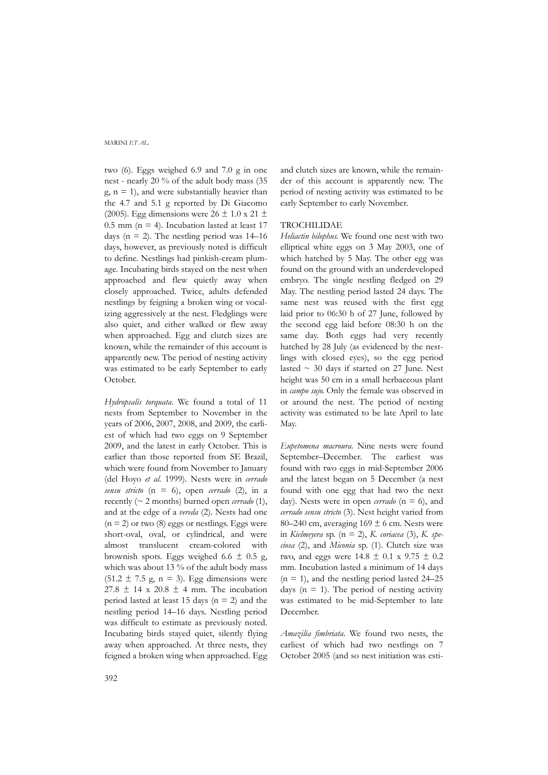two (6). Eggs weighed 6.9 and 7.0 g in one nest - nearly 20 % of the adult body mass (35  $g, n = 1$ ), and were substantially heavier than the 4.7 and 5.1 g reported by Di Giacomo (2005). Egg dimensions were  $26 \pm 1.0 \times 21 \pm 1.0$ 0.5 mm ( $n = 4$ ). Incubation lasted at least 17 days ( $n = 2$ ). The nestling period was 14–16 days, however, as previously noted is difficult to define. Nestlings had pinkish-cream plumage. Incubating birds stayed on the nest when approached and flew quietly away when closely approached. Twice, adults defended nestlings by feigning a broken wing or vocalizing aggressively at the nest. Fledglings were also quiet, and either walked or flew away when approached. Egg and clutch sizes are known, while the remainder of this account is apparently new. The period of nesting activity was estimated to be early September to early October.

*Hydropsalis torquata*. We found a total of 11 nests from September to November in the years of 2006, 2007, 2008, and 2009, the earliest of which had two eggs on 9 September 2009, and the latest in early October. This is earlier than those reported from SE Brazil, which were found from November to January (del Hoyo *et al*. 1999). Nests were in *cerrado sensu stricto* (n = 6), open *cerrado* (2), in a recently (~ 2 months) burned open *cerrado* (1), and at the edge of a *vereda* (2). Nests had one  $(n = 2)$  or two  $(8)$  eggs or nestlings. Eggs were short-oval, oval, or cylindrical, and were almost translucent cream-colored with brownish spots. Eggs weighed 6.6  $\pm$  0.5 g, which was about 13 % of the adult body mass  $(51.2 \pm 7.5 \text{ g}, \text{n} = 3)$ . Egg dimensions were  $27.8 \pm 14$  x  $20.8 \pm 4$  mm. The incubation period lasted at least 15 days ( $n = 2$ ) and the nestling period 14–16 days. Nestling period was difficult to estimate as previously noted. Incubating birds stayed quiet, silently flying away when approached. At three nests, they feigned a broken wing when approached. Egg and clutch sizes are known, while the remainder of this account is apparently new. The period of nesting activity was estimated to be early September to early November.

### TROCHILIDAE

*Heliactin bilophus.* We found one nest with two elliptical white eggs on 3 May 2003, one of which hatched by 5 May. The other egg was found on the ground with an underdeveloped embryo. The single nestling fledged on 29 May. The nestling period lasted 24 days. The same nest was reused with the first egg laid prior to 06:30 h of 27 June, followed by the second egg laid before 08:30 h on the same day. Both eggs had very recently hatched by 28 July (as evidenced by the nestlings with closed eyes), so the egg period lasted  $\sim$  30 days if started on 27 June. Nest height was 50 cm in a small herbaceous plant in *campo sujo*. Only the female was observed in or around the nest. The period of nesting activity was estimated to be late April to late May.

*Eupetomena macroura*. Nine nests were found September–December. The earliest was found with two eggs in mid-September 2006 and the latest began on 5 December (a nest found with one egg that had two the next day). Nests were in open *cerrado*  $(n = 6)$ , and *cerrado sensu stricto* (3). Nest height varied from 80–240 cm, averaging  $169 \pm 6$  cm. Nests were in *Kielmeyera* sp. (n = 2), *K. coriacea* (3), *K. speciosa* (2), and *Miconia* sp. (1). Clutch size was two, and eggs were  $14.8 \pm 0.1 \times 9.75 \pm 0.2$ mm. Incubation lasted a minimum of 14 days  $(n = 1)$ , and the nestling period lasted 24–25 days  $(n = 1)$ . The period of nesting activity was estimated to be mid-September to late December.

*Amazilia fimbriata*. We found two nests, the earliest of which had two nestlings on 7 October 2005 (and so nest initiation was esti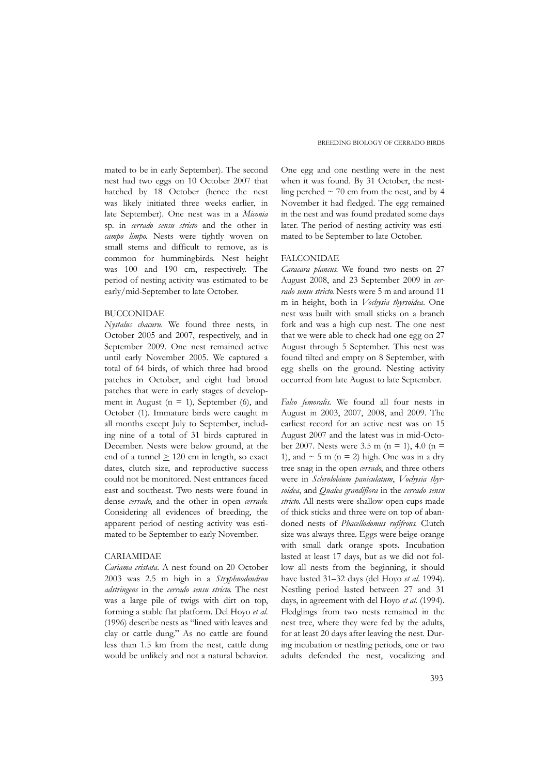mated to be in early September). The second nest had two eggs on 10 October 2007 that hatched by 18 October (hence the nest was likely initiated three weeks earlier, in late September). One nest was in a *Miconia* sp. in *cerrado sensu stricto* and the other in *campo limpo*. Nests were tightly woven on small stems and difficult to remove, as is common for hummingbirds. Nest height was 100 and 190 cm, respectively. The period of nesting activity was estimated to be early/mid-September to late October.

#### BUCCONIDAE

*Nystalus chacuru*. We found three nests, in October 2005 and 2007, respectively, and in September 2009. One nest remained active until early November 2005. We captured a total of 64 birds, of which three had brood patches in October, and eight had brood patches that were in early stages of development in August ( $n = 1$ ), September (6), and October (1). Immature birds were caught in all months except July to September, including nine of a total of 31 birds captured in December. Nests were below ground, at the end of a tunnel  $\geq 120$  cm in length, so exact dates, clutch size, and reproductive success could not be monitored. Nest entrances faced east and southeast. Two nests were found in dense *cerrado*, and the other in open *cerrado*. Considering all evidences of breeding, the apparent period of nesting activity was estimated to be September to early November.

### CARIAMIDAE

*Cariama cristata*. A nest found on 20 October 2003 was 2.5 m high in a *Stryphnodendron adstringens* in the *cerrado sensu stricto*. The nest was a large pile of twigs with dirt on top, forming a stable flat platform. Del Hoyo *et al*. (1996) describe nests as "lined with leaves and clay or cattle dung." As no cattle are found less than 1.5 km from the nest, cattle dung would be unlikely and not a natural behavior.

One egg and one nestling were in the nest when it was found. By 31 October, the nestling perched  $\sim$  70 cm from the nest, and by 4 November it had fledged. The egg remained in the nest and was found predated some days later. The period of nesting activity was estimated to be September to late October.

### FALCONIDAE

*Caracara plancus*. We found two nests on 27 August 2008, and 23 September 2009 in *cerrado sensu stricto*. Nests were 5 m and around 11 m in height, both in *Vochysia thyrsoidea*. One nest was built with small sticks on a branch fork and was a high cup nest. The one nest that we were able to check had one egg on 27 August through 5 September. This nest was found tilted and empty on 8 September, with egg shells on the ground. Nesting activity occurred from late August to late September.

*Falco femoralis*. We found all four nests in August in 2003, 2007, 2008, and 2009. The earliest record for an active nest was on 15 August 2007 and the latest was in mid-October 2007. Nests were 3.5 m (n = 1), 4.0 (n = 1), and  $\sim$  5 m (n = 2) high. One was in a dry tree snag in the open *cerrado*, and three others were in *Sclerolobium paniculatum*, *Vochysia thyrsoidea*, and *Qualea grandiflora* in the *cerrado sensu stricto*. All nests were shallow open cups made of thick sticks and three were on top of abandoned nests of *Phacellodomus rufifrons*. Clutch size was always three. Eggs were beige-orange with small dark orange spots. Incubation lasted at least 17 days, but as we did not follow all nests from the beginning, it should have lasted 31–32 days (del Hoyo *et al*. 1994). Nestling period lasted between 27 and 31 days, in agreement with del Hoyo *et al.* (1994). Fledglings from two nests remained in the nest tree, where they were fed by the adults, for at least 20 days after leaving the nest. During incubation or nestling periods, one or two adults defended the nest, vocalizing and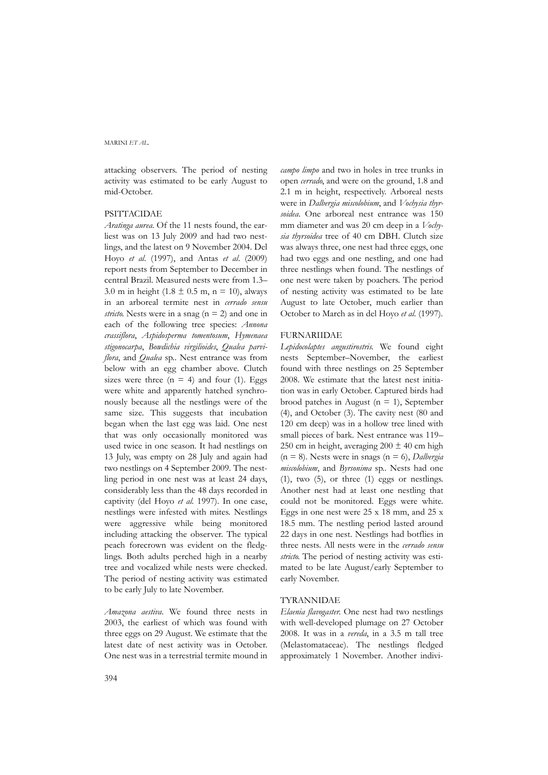attacking observers. The period of nesting activity was estimated to be early August to mid-October.

#### **PSITTACIDAE**

*Aratinga aurea*. Of the 11 nests found, the earliest was on 13 July 2009 and had two nestlings, and the latest on 9 November 2004. Del Hoyo *et al*. (1997), and Antas *et al*. (2009) report nests from September to December in central Brazil. Measured nests were from 1.3– 3.0 m in height (1.8  $\pm$  0.5 m, n = 10), always in an arboreal termite nest in *cerrado sensu stricto*. Nests were in a snag (n = 2) and one in each of the following tree species: *Annona crassiflora*, *Aspidosperma tomentosum*, *Hymenaea stigonocarpa*, *Bowdichia virgilioides*, *Qualea parviflora*, and *Qualea* sp.. Nest entrance was from below with an egg chamber above. Clutch sizes were three  $(n = 4)$  and four (1). Eggs were white and apparently hatched synchronously because all the nestlings were of the same size. This suggests that incubation began when the last egg was laid. One nest that was only occasionally monitored was used twice in one season. It had nestlings on 13 July, was empty on 28 July and again had two nestlings on 4 September 2009. The nestling period in one nest was at least 24 days, considerably less than the 48 days recorded in captivity (del Hoyo *et al*. 1997). In one case, nestlings were infested with mites. Nestlings were aggressive while being monitored including attacking the observer. The typical peach forecrown was evident on the fledglings. Both adults perched high in a nearby tree and vocalized while nests were checked. The period of nesting activity was estimated to be early July to late November.

*Amazona aestiva*. We found three nests in 2003, the earliest of which was found with three eggs on 29 August. We estimate that the latest date of nest activity was in October. One nest was in a terrestrial termite mound in

*campo limpo* and two in holes in tree trunks in open *cerrado*, and were on the ground, 1.8 and 2.1 m in height, respectively. Arboreal nests were in *Dalbergia miscolobium*, and *Vochysia thyrsoidea*. One arboreal nest entrance was 150 mm diameter and was 20 cm deep in a *Vochysia thyrsoidea* tree of 40 cm DBH. Clutch size was always three, one nest had three eggs, one had two eggs and one nestling, and one had three nestlings when found. The nestlings of one nest were taken by poachers. The period of nesting activity was estimated to be late August to late October, much earlier than October to March as in del Hoyo *et al*. (1997).

#### FURNARIIDAE

*Lepidocolaptes angustirostris*. We found eight nests September–November, the earliest found with three nestlings on 25 September 2008. We estimate that the latest nest initiation was in early October. Captured birds had brood patches in August ( $n = 1$ ), September (4), and October (3). The cavity nest (80 and 120 cm deep) was in a hollow tree lined with small pieces of bark. Nest entrance was 119– 250 cm in height, averaging  $200 \pm 40$  cm high (n = 8). Nests were in snags (n = 6), *Dalbergia miscolobium*, and *Byrsonima* sp.. Nests had one  $(1)$ , two  $(5)$ , or three  $(1)$  eggs or nestlings. Another nest had at least one nestling that could not be monitored. Eggs were white. Eggs in one nest were  $25 \times 18$  mm, and  $25 \times$ 18.5 mm. The nestling period lasted around 22 days in one nest. Nestlings had botflies in three nests. All nests were in the *cerrado sensu stricto*. The period of nesting activity was estimated to be late August/early September to early November.

### TYRANNIDAE

*Elaenia flavogaster*. One nest had two nestlings with well-developed plumage on 27 October 2008. It was in a *vereda*, in a 3.5 m tall tree (Melastomataceae). The nestlings fledged approximately 1 November. Another indivi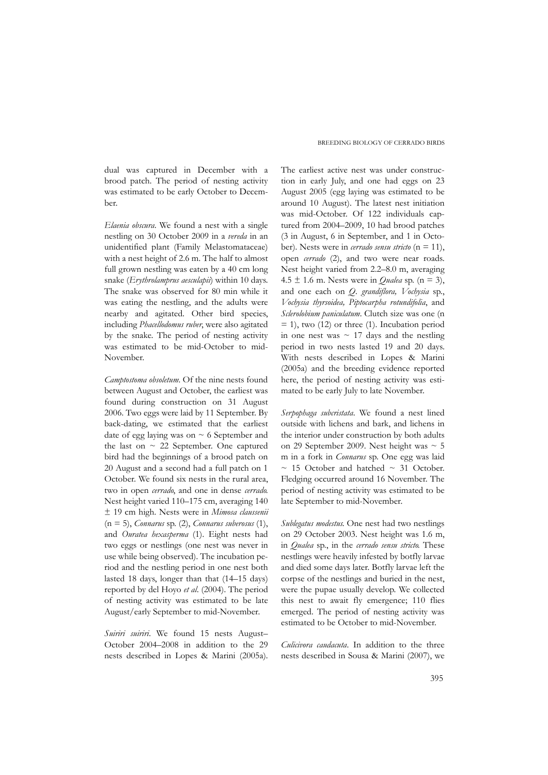dual was captured in December with a brood patch. The period of nesting activity was estimated to be early October to December.

*Elaenia obscura*. We found a nest with a single nestling on 30 October 2009 in a *vereda* in an unidentified plant (Family Melastomataceae) with a nest height of 2.6 m. The half to almost full grown nestling was eaten by a 40 cm long snake (*Erythrolamprus aesculapii*) within 10 days. The snake was observed for 80 min while it was eating the nestling, and the adults were nearby and agitated. Other bird species, including *Phacellodomus ruber*, were also agitated by the snake. The period of nesting activity was estimated to be mid-October to mid-November.

*Camptostoma obsoletum*. Of the nine nests found between August and October, the earliest was found during construction on 31 August 2006. Two eggs were laid by 11 September. By back-dating, we estimated that the earliest date of egg laying was on  $\sim$  6 September and the last on  $\sim$  22 September. One captured bird had the beginnings of a brood patch on 20 August and a second had a full patch on 1 October. We found six nests in the rural area, two in open *cerrado*, and one in dense *cerrado*. Nest height varied 110–175 cm, averaging 140 ± 19 cm high. Nests were in *Mimosa claussenii* (n = 5), *Connarus* sp. (2), *Connarus suberosus* (1), and *Ouratea hexasperma* (1). Eight nests had two eggs or nestlings (one nest was never in use while being observed). The incubation period and the nestling period in one nest both lasted 18 days, longer than that (14–15 days) reported by del Hoyo *et al*. (2004). The period of nesting activity was estimated to be late August/early September to mid-November.

*Suiriri suiriri*. We found 15 nests August– October 2004–2008 in addition to the 29 nests described in Lopes & Marini (2005a).

#### BREEDING BIOLOGY OF CERRADO BIRDS

The earliest active nest was under construction in early July, and one had eggs on 23 August 2005 (egg laying was estimated to be around 10 August). The latest nest initiation was mid-October. Of 122 individuals captured from 2004–2009, 10 had brood patches (3 in August, 6 in September, and 1 in October). Nests were in *cerrado sensu stricto* (n = 11), open *cerrado* (2), and two were near roads. Nest height varied from 2.2–8.0 m, averaging  $4.5 \pm 1.6$  m. Nests were in *Qualea* sp. (n = 3), and one each on *Q. grandiflora, Vochysia* sp., *Vochysia thyrsoidea, Piptocarpha rotundifolia*, and *Sclerolobium paniculatum*. Clutch size was one (n  $=$  1), two (12) or three (1). Incubation period in one nest was  $\sim$  17 days and the nestling period in two nests lasted 19 and 20 days. With nests described in Lopes & Marini (2005a) and the breeding evidence reported here, the period of nesting activity was estimated to be early July to late November.

*Serpophaga subcristata*. We found a nest lined outside with lichens and bark, and lichens in the interior under construction by both adults on 29 September 2009. Nest height was  $\sim$  5 m in a fork in *Connarus* sp. One egg was laid  $\sim$  15 October and hatched  $\sim$  31 October. Fledging occurred around 16 November. The period of nesting activity was estimated to be late September to mid-November.

*Sublegatus modestus*. One nest had two nestlings on 29 October 2003. Nest height was 1.6 m, in *Qualea* sp., in the *cerrado sensu stricto*. These nestlings were heavily infested by botfly larvae and died some days later. Botfly larvae left the corpse of the nestlings and buried in the nest, were the pupae usually develop. We collected this nest to await fly emergence; 110 flies emerged. The period of nesting activity was estimated to be October to mid-November.

*Culicivora caudacuta*. In addition to the three nests described in Sousa & Marini (2007), we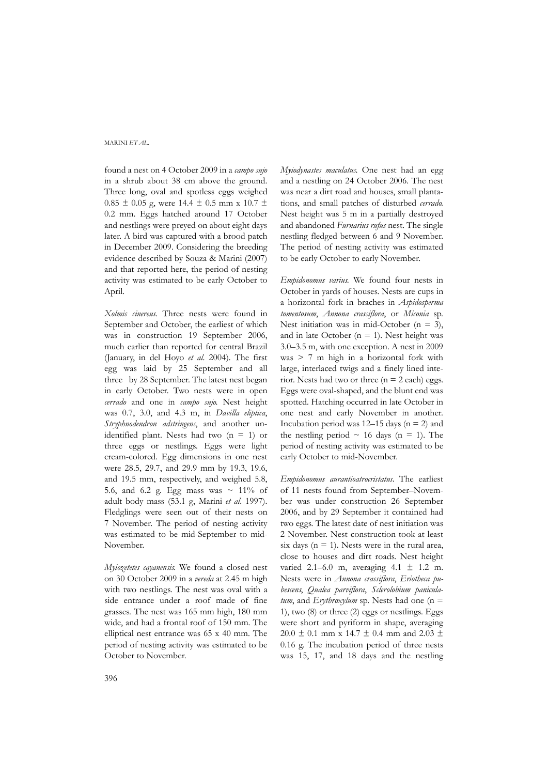found a nest on 4 October 2009 in a *campo sujo* in a shrub about 38 cm above the ground. Three long, oval and spotless eggs weighed  $0.85 \pm 0.05$  g, were 14.4  $\pm$  0.5 mm x 10.7  $\pm$ 0.2 mm. Eggs hatched around 17 October and nestlings were preyed on about eight days later. A bird was captured with a brood patch in December 2009. Considering the breeding evidence described by Souza & Marini (2007) and that reported here, the period of nesting activity was estimated to be early October to April.

*Xolmis cinereus*. Three nests were found in September and October, the earliest of which was in construction 19 September 2006, much earlier than reported for central Brazil (January, in del Hoyo *et al*. 2004). The first egg was laid by 25 September and all three by 28 September. The latest nest began in early October. Two nests were in open *cerrado* and one in *campo sujo*. Nest height was 0.7, 3.0, and 4.3 m, in *Davilla eliptica*, *Stryphnodendron adstringens*, and another unidentified plant. Nests had two  $(n = 1)$  or three eggs or nestlings. Eggs were light cream-colored. Egg dimensions in one nest were 28.5, 29.7, and 29.9 mm by 19.3, 19.6, and 19.5 mm, respectively, and weighed 5.8, 5.6, and 6.2 g. Egg mass was  $\sim 11\%$  of adult body mass (53.1 g, Marini *et al*. 1997). Fledglings were seen out of their nests on 7 November. The period of nesting activity was estimated to be mid-September to mid-November.

*Myiozetetes cayanensis*. We found a closed nest on 30 October 2009 in a *vereda* at 2.45 m high with two nestlings. The nest was oval with a side entrance under a roof made of fine grasses. The nest was 165 mm high, 180 mm wide, and had a frontal roof of 150 mm. The elliptical nest entrance was 65 x 40 mm. The period of nesting activity was estimated to be October to November.

*Myiodynastes maculatus*. One nest had an egg and a nestling on 24 October 2006. The nest was near a dirt road and houses, small plantations, and small patches of disturbed *cerrado*. Nest height was 5 m in a partially destroyed and abandoned *Furnarius rufus* nest. The single nestling fledged between 6 and 9 November. The period of nesting activity was estimated to be early October to early November.

*Empidonomus varius*. We found four nests in October in yards of houses. Nests are cups in a horizontal fork in braches in *Aspidosperma tomentosum*, *Annona crassiflora*, or *Miconia* sp. Nest initiation was in mid-October ( $n = 3$ ), and in late October ( $n = 1$ ). Nest height was 3.0–3.5 m, with one exception. A nest in 2009 was > 7 m high in a horizontal fork with large, interlaced twigs and a finely lined interior. Nests had two or three  $(n = 2 \text{ each})$  eggs. Eggs were oval-shaped, and the blunt end was spotted. Hatching occurred in late October in one nest and early November in another. Incubation period was  $12-15$  days ( $n = 2$ ) and the nestling period  $\sim$  16 days (n = 1). The period of nesting activity was estimated to be early October to mid-November.

*Empidonomus aurantioatrocristatus*. The earliest of 11 nests found from September–November was under construction 26 September 2006, and by 29 September it contained had two eggs. The latest date of nest initiation was 2 November. Nest construction took at least six days ( $n = 1$ ). Nests were in the rural area, close to houses and dirt roads. Nest height varied 2.1–6.0 m, averaging  $4.1 \pm 1.2$  m. Nests were in *Annona crassiflora*, *Eriotheca pubescens*, *Qualea parviflora*, *Sclerolobium paniculatum*, and *Erythroxylum* sp. Nests had one (n = 1), two (8) or three (2) eggs or nestlings. Eggs were short and pyriform in shape, averaging 20.0  $\pm$  0.1 mm x 14.7  $\pm$  0.4 mm and 2.03  $\pm$ 0.16 g. The incubation period of three nests was 15, 17, and 18 days and the nestling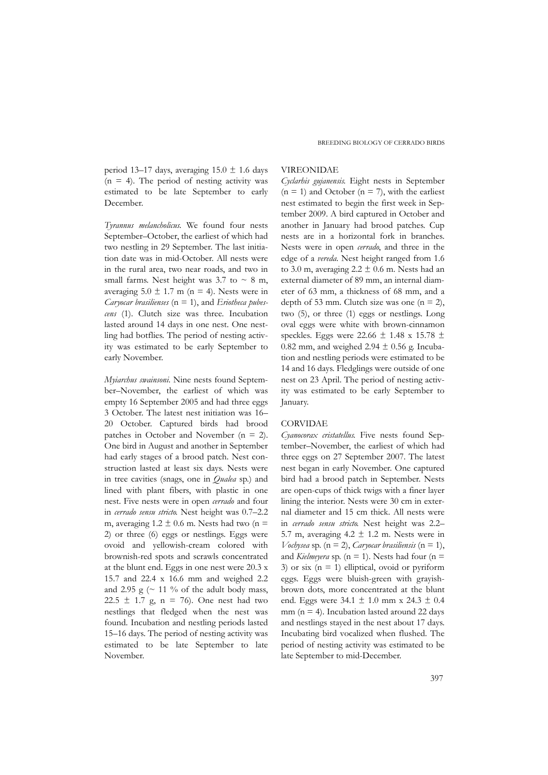period 13–17 days, averaging 15.0  $\pm$  1.6 days  $(n = 4)$ . The period of nesting activity was estimated to be late September to early December.

*Tyrannus melancholicus*. We found four nests September–October, the earliest of which had two nestling in 29 September. The last initiation date was in mid-October. All nests were in the rural area, two near roads, and two in small farms. Nest height was 3.7 to  $\sim$  8 m, averaging  $5.0 \pm 1.7$  m (n = 4). Nests were in *Caryocar brasilienses* (n = 1), and *Eriotheca pubescens* (1). Clutch size was three. Incubation lasted around 14 days in one nest. One nestling had botflies. The period of nesting activity was estimated to be early September to early November.

*Myiarchus swainsoni*. Nine nests found September–November, the earliest of which was empty 16 September 2005 and had three eggs 3 October. The latest nest initiation was 16– 20 October. Captured birds had brood patches in October and November (n = 2). One bird in August and another in September had early stages of a brood patch. Nest construction lasted at least six days. Nests were in tree cavities (snags, one in *Qualea* sp.) and lined with plant fibers, with plastic in one nest. Five nests were in open *cerrado* and four in *cerrado sensu stricto*. Nest height was 0.7–2.2 m, averaging  $1.2 \pm 0.6$  m. Nests had two (n = 2) or three (6) eggs or nestlings. Eggs were ovoid and yellowish-cream colored with brownish-red spots and scrawls concentrated at the blunt end. Eggs in one nest were 20.3 x 15.7 and 22.4 x 16.6 mm and weighed 2.2 and 2.95 g ( $\sim$  11 % of the adult body mass, 22.5  $\pm$  1.7 g, n = 76). One nest had two nestlings that fledged when the nest was found. Incubation and nestling periods lasted 15–16 days. The period of nesting activity was estimated to be late September to late November.

### VIREONIDAE

*Cyclarhis gujanensis*. Eight nests in September  $(n = 1)$  and October  $(n = 7)$ , with the earliest nest estimated to begin the first week in September 2009. A bird captured in October and another in January had brood patches. Cup nests are in a horizontal fork in branches. Nests were in open *cerrado*, and three in the edge of a *vereda*. Nest height ranged from 1.6 to 3.0 m, averaging  $2.2 \pm 0.6$  m. Nests had an external diameter of 89 mm, an internal diameter of 63 mm, a thickness of 68 mm, and a depth of 53 mm. Clutch size was one  $(n = 2)$ , two (5), or three (1) eggs or nestlings. Long oval eggs were white with brown-cinnamon speckles. Eggs were 22.66  $\pm$  1.48 x 15.78  $\pm$ 0.82 mm, and weighed 2.94  $\pm$  0.56 g. Incubation and nestling periods were estimated to be 14 and 16 days. Fledglings were outside of one nest on 23 April. The period of nesting activity was estimated to be early September to January.

#### CORVIDAE

*Cyanocorax cristatellus*. Five nests found September–November, the earliest of which had three eggs on 27 September 2007. The latest nest began in early November. One captured bird had a brood patch in September. Nests are open-cups of thick twigs with a finer layer lining the interior. Nests were 30 cm in external diameter and 15 cm thick. All nests were in *cerrado sensu stricto*. Nest height was 2.2– 5.7 m, averaging  $4.2 \pm 1.2$  m. Nests were in  $V$ ochysea sp. (n = 2), *Caryocar brasiliensis* (n = 1), and *Kielmeyera* sp. ( $n = 1$ ). Nests had four ( $n = 1$ 3) or six  $(n = 1)$  elliptical, ovoid or pyriform eggs. Eggs were bluish-green with grayishbrown dots, more concentrated at the blunt end. Eggs were 34.1 ± 1.0 mm x 24.3 ± 0.4 mm ( $n = 4$ ). Incubation lasted around 22 days and nestlings stayed in the nest about 17 days. Incubating bird vocalized when flushed. The period of nesting activity was estimated to be late September to mid-December.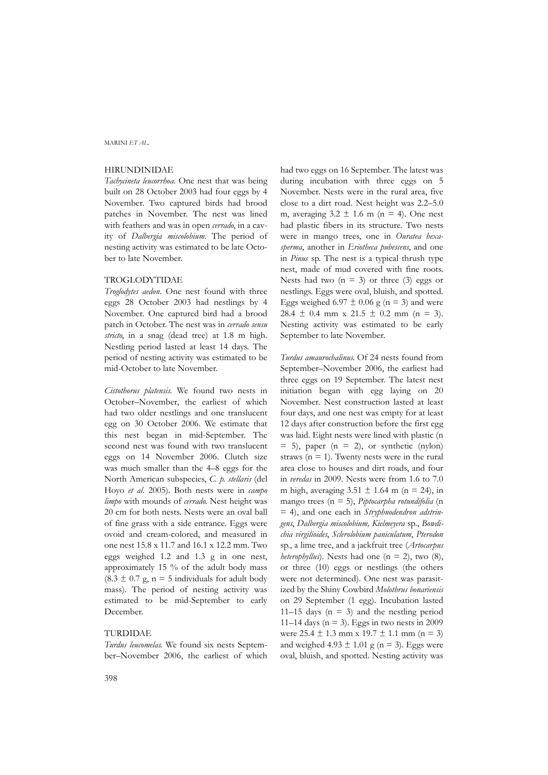### HIRUNDINIDAE

*Tachycineta leucorrhoa*. One nest that was being built on 28 October 2003 had four eggs by 4 November. Two captured birds had brood patches in November. The nest was lined with feathers and was in open *cerrado*, in a cavity of *Dalbergia miscolobium*. The period of nesting activity was estimated to be late October to late November.

### TROGLODYTIDAE

*Troglodytes aedon*. One nest found with three eggs 28 October 2003 had nestlings by 4 November. One captured bird had a brood patch in October. The nest was in *cerrado sensu stricto*, in a snag (dead tree) at 1.8 m high. Nestling period lasted at least 14 days. The period of nesting activity was estimated to be mid-October to late November.

*Cistothorus platensis.* We found two nests in October–November, the earliest of which had two older nestlings and one translucent egg on 30 October 2006. We estimate that this nest began in mid-September. The second nest was found with two translucent eggs on 14 November 2006. Clutch size was much smaller than the 4–8 eggs for the North American subspecies, *C. p. stellaris* (del Hoyo *et al*. 2005). Both nests were in *campo limpo* with mounds of *cerrado*. Nest height was 20 cm for both nests. Nests were an oval ball of fine grass with a side entrance. Eggs were ovoid and cream-colored, and measured in one nest 15.8 x 11.7 and 16.1 x 12.2 mm. Two eggs weighed 1.2 and 1.3 g in one nest, approximately 15 % of the adult body mass  $(8.3 \pm 0.7 \text{ g}, \text{n} = 5 \text{ individuals for adult body})$ mass). The period of nesting activity was estimated to be mid-September to early December.

### TURDIDAE

*Turdus leucomelas*. We found six nests September–November 2006, the earliest of which had two eggs on 16 September. The latest was during incubation with three eggs on 5 November. Nests were in the rural area, five close to a dirt road. Nest height was 2.2–5.0 m, averaging  $3.2 \pm 1.6$  m (n = 4). One nest had plastic fibers in its structure. Two nests were in mango trees, one in *Ouratea hexasperma*, another in *Eriotheca pubescens*, and one in *Pinus* sp. The nest is a typical thrush type nest, made of mud covered with fine roots. Nests had two  $(n = 3)$  or three (3) eggs or nestlings. Eggs were oval, bluish, and spotted. Eggs weighed 6.97  $\pm$  0.06 g (n = 3) and were 28.4  $\pm$  0.4 mm x 21.5  $\pm$  0.2 mm (n = 3). Nesting activity was estimated to be early September to late November.

*Turdus amaurochalinus*. Of 24 nests found from September–November 2006, the earliest had three eggs on 19 September. The latest nest initiation began with egg laying on 20 November. Nest construction lasted at least four days, and one nest was empty for at least 12 days after construction before the first egg was laid. Eight nests were lined with plastic (n  $= 5$ ), paper (n  $= 2$ ), or synthetic (nylon) straws  $(n = 1)$ . Twenty nests were in the rural area close to houses and dirt roads, and four in *veredas* in 2009. Nests were from 1.6 to 7.0 m high, averaging  $3.51 \pm 1.64$  m (n = 24), in mango trees (n = 5), *Piptocarpha rotundifolia* (n = 4), and one each in *Stryphnodendron adstringens*, *Dalbergia miscolobium, Kielmeyera* sp., *Bowdichia virgilioides*, *Sclerolobium paniculatum*, *Pterodon* sp., a lime tree, and a jackfruit tree (*Artocarpus heterophyllus*). Nests had one ( $n = 2$ ), two (8), or three (10) eggs or nestlings (the others were not determined). One nest was parasitized by the Shiny Cowbird *Molothrus bonariensis* on 29 September (1 egg). Incubation lasted 11–15 days  $(n = 3)$  and the nestling period 11–14 days ( $n = 3$ ). Eggs in two nests in 2009 were  $25.4 \pm 1.3$  mm x  $19.7 \pm 1.1$  mm (n = 3) and weighed  $4.93 \pm 1.01$  g (n = 3). Eggs were oval, bluish, and spotted. Nesting activity was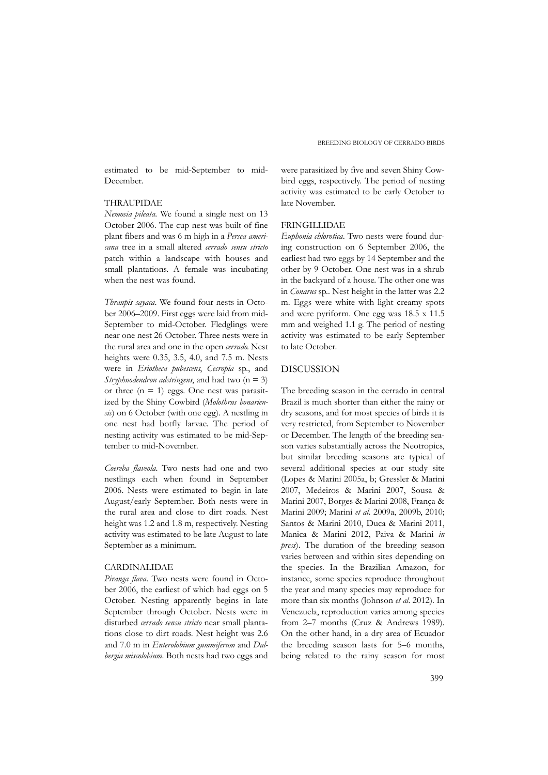estimated to be mid-September to mid-December.

### THRAUPIDAE

*Nemosia pileata*. We found a single nest on 13 October 2006. The cup nest was built of fine plant fibers and was 6 m high in a *Persea americana* tree in a small altered *cerrado sensu stricto* patch within a landscape with houses and small plantations. A female was incubating when the nest was found.

*Thraupis sayaca*. We found four nests in October 2006–2009. First eggs were laid from mid-September to mid-October. Fledglings were near one nest 26 October. Three nests were in the rural area and one in the open *cerrado*. Nest heights were 0.35, 3.5, 4.0, and 7.5 m. Nests were in *Eriotheca pubescens*, *Cecropia* sp., and *Stryphnodendron adstringens*, and had two (n = 3) or three  $(n = 1)$  eggs. One nest was parasitized by the Shiny Cowbird (*Molothrus bonariensis*) on 6 October (with one egg). A nestling in one nest had botfly larvae. The period of nesting activity was estimated to be mid-September to mid-November.

*Coereba flaveola*. Two nests had one and two nestlings each when found in September 2006. Nests were estimated to begin in late August/early September. Both nests were in the rural area and close to dirt roads. Nest height was 1.2 and 1.8 m, respectively. Nesting activity was estimated to be late August to late September as a minimum.

### CARDINALIDAE

*Piranga flava*. Two nests were found in October 2006, the earliest of which had eggs on 5 October. Nesting apparently begins in late September through October. Nests were in disturbed *cerrado sensu stricto* near small plantations close to dirt roads. Nest height was 2.6 and 7.0 m in *Enterolobium gummiferum* and *Dalbergia miscolobium*. Both nests had two eggs and were parasitized by five and seven Shiny Cowbird eggs, respectively. The period of nesting activity was estimated to be early October to late November.

### FRINGILLIDAE

*Euphonia chlorotica*. Two nests were found during construction on 6 September 2006, the earliest had two eggs by 14 September and the other by 9 October. One nest was in a shrub in the backyard of a house. The other one was in *Conarus* sp.. Nest height in the latter was 2.2 m. Eggs were white with light creamy spots and were pyriform. One egg was 18.5 x 11.5 mm and weighed 1.1 g. The period of nesting activity was estimated to be early September to late October.

# DISCUSSION

The breeding season in the cerrado in central Brazil is much shorter than either the rainy or dry seasons, and for most species of birds it is very restricted, from September to November or December. The length of the breeding season varies substantially across the Neotropics, but similar breeding seasons are typical of several additional species at our study site (Lopes & Marini 2005a, b; Gressler & Marini 2007, Medeiros & Marini 2007, Sousa & Marini 2007, Borges & Marini 2008, França & Marini 2009; Marini *et al*. 2009a, 2009b, 2010; Santos & Marini 2010, Duca & Marini 2011, Manica & Marini 2012, Paiva & Marini *in press*). The duration of the breeding season varies between and within sites depending on the species. In the Brazilian Amazon, for instance, some species reproduce throughout the year and many species may reproduce for more than six months (Johnson *et al*. 2012). In Venezuela, reproduction varies among species from 2–7 months (Cruz & Andrews 1989). On the other hand, in a dry area of Ecuador the breeding season lasts for 5–6 months, being related to the rainy season for most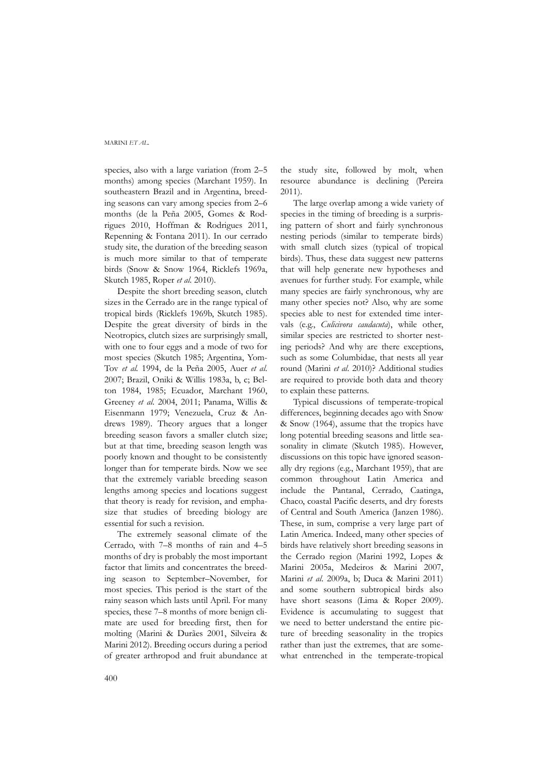species, also with a large variation (from 2–5 months) among species (Marchant 1959). In southeastern Brazil and in Argentina, breeding seasons can vary among species from 2–6 months (de la Peña 2005, Gomes & Rodrigues 2010, Hoffman & Rodrigues 2011, Repenning & Fontana 2011). In our cerrado study site, the duration of the breeding season is much more similar to that of temperate birds (Snow & Snow 1964, Ricklefs 1969a, Skutch 1985, Roper *et al*. 2010).

Despite the short breeding season, clutch sizes in the Cerrado are in the range typical of tropical birds (Ricklefs 1969b, Skutch 1985). Despite the great diversity of birds in the Neotropics, clutch sizes are surprisingly small, with one to four eggs and a mode of two for most species (Skutch 1985; Argentina, Yom-Tov *et al.* 1994, de la Peña 2005, Auer *et al*. 2007; Brazil, Oniki & Willis 1983a, b, c; Belton 1984, 1985; Ecuador, Marchant 1960, Greeney *et al*. 2004, 2011; Panama, Willis & Eisenmann 1979; Venezuela, Cruz & Andrews 1989). Theory argues that a longer breeding season favors a smaller clutch size; but at that time, breeding season length was poorly known and thought to be consistently longer than for temperate birds. Now we see that the extremely variable breeding season lengths among species and locations suggest that theory is ready for revision, and emphasize that studies of breeding biology are essential for such a revision.

The extremely seasonal climate of the Cerrado, with 7–8 months of rain and 4–5 months of dry is probably the most important factor that limits and concentrates the breeding season to September–November, for most species. This period is the start of the rainy season which lasts until April. For many species, these 7–8 months of more benign climate are used for breeding first, then for molting (Marini & Durães 2001, Silveira & Marini 2012). Breeding occurs during a period of greater arthropod and fruit abundance at

the study site, followed by molt, when resource abundance is declining (Pereira 2011).

The large overlap among a wide variety of species in the timing of breeding is a surprising pattern of short and fairly synchronous nesting periods (similar to temperate birds) with small clutch sizes (typical of tropical birds). Thus, these data suggest new patterns that will help generate new hypotheses and avenues for further study. For example, while many species are fairly synchronous, why are many other species not? Also, why are some species able to nest for extended time intervals (e.g., *Culicivora caudacuta*), while other, similar species are restricted to shorter nesting periods? And why are there exceptions, such as some Columbidae, that nests all year round (Marini *et al*. 2010)? Additional studies are required to provide both data and theory to explain these patterns.

Typical discussions of temperate-tropical differences, beginning decades ago with Snow & Snow (1964), assume that the tropics have long potential breeding seasons and little seasonality in climate (Skutch 1985). However, discussions on this topic have ignored seasonally dry regions (e.g., Marchant 1959), that are common throughout Latin America and include the Pantanal, Cerrado, Caatinga, Chaco, coastal Pacific deserts, and dry forests of Central and South America (Janzen 1986). These, in sum, comprise a very large part of Latin America. Indeed, many other species of birds have relatively short breeding seasons in the Cerrado region (Marini 1992, Lopes & Marini 2005a, Medeiros & Marini 2007, Marini *et al*. 2009a, b; Duca & Marini 2011) and some southern subtropical birds also have short seasons (Lima & Roper 2009). Evidence is accumulating to suggest that we need to better understand the entire picture of breeding seasonality in the tropics rather than just the extremes, that are somewhat entrenched in the temperate-tropical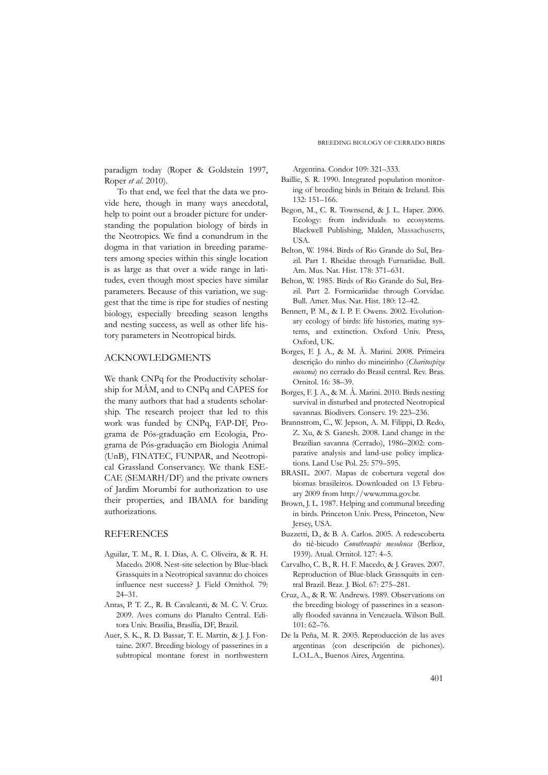paradigm today (Roper & Goldstein 1997, Roper *et al*. 2010).

To that end, we feel that the data we provide here, though in many ways anecdotal, help to point out a broader picture for understanding the population biology of birds in the Neotropics. We find a conundrum in the dogma in that variation in breeding parameters among species within this single location is as large as that over a wide range in latitudes, even though most species have similar parameters. Because of this variation, we suggest that the time is ripe for studies of nesting biology, especially breeding season lengths and nesting success, as well as other life history parameters in Neotropical birds.

### ACKNOWLEDGMENTS

We thank CNPq for the Productivity scholarship for MÂM, and to CNPq and CAPES for the many authors that had a students scholarship. The research project that led to this work was funded by CNPq, FAP-DF, Programa de Pós-graduação em Ecologia, Programa de Pós-graduação em Biologia Animal (UnB), FINATEC, FUNPAR, and Neotropical Grassland Conservancy. We thank ESE-CAE (SEMARH/DF) and the private owners of Jardim Morumbi for authorization to use their properties, and IBAMA for banding authorizations.

#### REFERENCES

- Aguilar, T. M., R. I. Dias, A. C. Oliveira, & R. H. Macedo. 2008. Nest-site selection by Blue-black Grassquits in a Neotropical savanna: do choices influence nest success? J. Field Ornithol. 79: 24–31.
- Antas, P. T. Z., R. B. Cavalcanti, & M. C. V. Cruz. 2009. Aves comuns do Planalto Central. Editora Univ. Brasília, Brasília, DF, Brazil.
- Auer, S. K., R. D. Bassar, T. E. Martin, & J. J. Fontaine. 2007. Breeding biology of passerines in a subtropical montane forest in northwestern

Argentina. Condor 109: 321–333.

- Baillie, S. R. 1990. Integrated population monitoring of breeding birds in Britain & Ireland. Ibis 132: 151–166.
- Begon, M., C. R. Townsend, & J. L. Haper. 2006. Ecology: from individuals to ecosystems. Blackwell Publishing, Malden, Massachusetts, **TISA**
- Belton, W. 1984. Birds of Rio Grande do Sul, Brazil. Part 1. Rheidae through Furnariidae. Bull. Am. Mus. Nat. Hist. 178: 371–631.
- Belton, W. 1985. Birds of Rio Grande do Sul, Brazil. Part 2. Formicariidae through Corvidae. Bull. Amer. Mus. Nat. Hist. 180: 12–42.
- Bennett, P. M., & I. P. F. Owens. 2002. Evolutionary ecology of birds: life histories, mating systems, and extinction. Oxford Univ. Press, Oxford, UK.
- Borges, F. J. A., & M. Â. Marini. 2008. Primeira descrição do ninho do mineirinho (*Charitospiza eucosma*) no cerrado do Brasil central. Rev. Bras. Ornitol. 16: 38–39.
- Borges, F. J. A., & M. Â. Marini. 2010. Birds nesting survival in disturbed and protected Neotropical savannas. Biodivers. Conserv. 19: 223–236.
- Brannstrom, C., W. Jepson, A. M. Filippi, D. Redo, Z. Xu, & S. Ganesh. 2008. Land change in the Brazilian savanna (Cerrado), 1986–2002: comparative analysis and land-use policy implications. Land Use Pol. 25: 579–595.
- BRASIL. 2007. Mapas de cobertura vegetal dos biomas brasileiros. Downloaded on 13 February 2009 from http://www.mma.gov.br.
- Brown, J. L. 1987. Helping and communal breeding in birds. Princeton Univ. Press, Princeton, New Jersey, USA.
- Buzzetti, D., & B. A. Carlos. 2005. A redescoberta do tiê-bicudo *Conothraupis mesoleuca* (Berlioz, 1939). Atual. Ornitol. 127: 4–5.
- Carvalho, C. B., R. H. F. Macedo, & J. Graves. 2007. Reproduction of Blue-black Grassquits in central Brazil. Braz. J. Biol. 67: 275–281.
- Cruz, A., & R. W. Andrews. 1989. Observations on the breeding biology of passerines in a seasonally flooded savanna in Venezuela. Wilson Bull. 101: 62–76.
- De la Peña, M. R. 2005. Reproducción de las aves argentinas (con descripción de pichones). L.O.L.A., Buenos Aires, Argentina.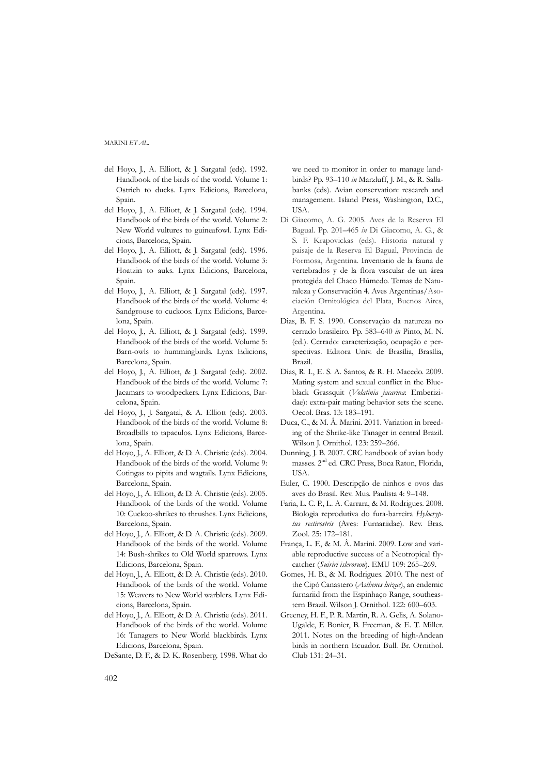- del Hoyo, J., A. Elliott, & J. Sargatal (eds). 1992. Handbook of the birds of the world. Volume 1: Ostrich to ducks. Lynx Edicions, Barcelona, Spain.
- del Hoyo, J., A. Elliott, & J. Sargatal (eds). 1994. Handbook of the birds of the world. Volume 2: New World vultures to guineafowl. Lynx Edicions, Barcelona, Spain.
- del Hoyo, J., A. Elliott, & J. Sargatal (eds). 1996. Handbook of the birds of the world. Volume 3: Hoatzin to auks. Lynx Edicions, Barcelona, Spain.
- del Hoyo, J., A. Elliott, & J. Sargatal (eds). 1997. Handbook of the birds of the world. Volume 4: Sandgrouse to cuckoos. Lynx Edicions, Barcelona, Spain.
- del Hoyo, J., A. Elliott, & J. Sargatal (eds). 1999. Handbook of the birds of the world. Volume 5: Barn-owls to hummingbirds. Lynx Edicions, Barcelona, Spain.
- del Hoyo, J., A. Elliott, & J. Sargatal (eds). 2002. Handbook of the birds of the world. Volume 7: Jacamars to woodpeckers. Lynx Edicions, Barcelona, Spain.
- del Hoyo, J., J. Sargatal, & A. Elliott (eds). 2003. Handbook of the birds of the world. Volume 8: Broadbills to tapaculos. Lynx Edicions, Barcelona, Spain.
- del Hoyo, J., A. Elliott, & D. A. Christie (eds). 2004. Handbook of the birds of the world. Volume 9: Cotingas to pipits and wagtails. Lynx Edicions, Barcelona, Spain.
- del Hoyo, J., A. Elliott, & D. A. Christie (eds). 2005. Handbook of the birds of the world. Volume 10: Cuckoo-shrikes to thrushes. Lynx Edicions, Barcelona, Spain.
- del Hoyo, J., A. Elliott, & D. A. Christie (eds). 2009. Handbook of the birds of the world. Volume 14: Bush-shrikes to Old World sparrows. Lynx Edicions, Barcelona, Spain.
- del Hoyo, J., A. Elliott, & D. A. Christie (eds). 2010. Handbook of the birds of the world. Volume 15: Weavers to New World warblers. Lynx Edicions, Barcelona, Spain.
- del Hoyo, J., A. Elliott, & D. A. Christie (eds). 2011. Handbook of the birds of the world. Volume 16: Tanagers to New World blackbirds. Lynx Edicions, Barcelona, Spain.
- DeSante, D. F., & D. K. Rosenberg. 1998. What do

we need to monitor in order to manage landbirds? Pp. 93–110 *in* Marzluff, J. M., & R. Sallabanks (eds). Avian conservation: research and management. Island Press, Washington, D.C., USA.

- Di Giacomo, A. G. 2005. Aves de la Reserva El Bagual. Pp. 201–465 *in* Di Giacomo, A. G., & S. F. Krapovickas (eds). Historia natural y paisaje de la Reserva El Bagual, Provincia de Formosa, Argentina. Inventario de la fauna de vertebrados y de la flora vascular de un área protegida del Chaco Húmedo. Temas de Naturaleza y Conservación 4. Aves Argentinas/Asociación Ornitológica del Plata, Buenos Aires, Argentina.
- Dias, B. F. S. 1990. Conservação da natureza no cerrado brasileiro. Pp. 583–640 *in* Pinto, M. N. (ed.). Cerrado: caracterização, ocupação e perspectivas. Editora Univ. de Brasília, Brasília, Brazil.
- Dias, R. I., E. S. A. Santos, & R. H. Macedo. 2009. Mating system and sexual conflict in the Blueblack Grassquit (*Volatinia jacarina*: Emberizidae): extra-pair mating behavior sets the scene. Oecol. Bras. 13: 183–191.
- Duca, C., & M. Â. Marini. 2011. Variation in breeding of the Shrike-like Tanager in central Brazil. Wilson J. Ornithol. 123: 259–266.
- Dunning, J. B. 2007. CRC handbook of avian body masses. 2nd ed. CRC Press, Boca Raton, Florida, USA.
- Euler, C. 1900. Descripção de ninhos e ovos das aves do Brasil. Rev. Mus. Paulista 4: 9–148.
- Faria, L. C. P., L. A. Carrara, & M. Rodrigues. 2008. Biologia reprodutiva do fura-barreira *Hylocryptus rectirostris* (Aves: Furnariidae). Rev. Bras. Zool. 25: 172–181.
- França, L. F., & M. Â. Marini. 2009. Low and variable reproductive success of a Neotropical flycatcher (*Suiriri islerorum*). EMU 109: 265–269.
- Gomes, H. B., & M. Rodrigues. 2010. The nest of the Cipó Canastero (*Asthenes luizae*), an endemic furnariid from the Espinhaço Range, southeastern Brazil. Wilson J. Ornithol. 122: 600–603.
- Greeney, H. F., P. R. Martin, R. A. Gelis, A. Solano-Ugalde, F. Bonier, B. Freeman, & E. T. Miller. 2011. Notes on the breeding of high-Andean birds in northern Ecuador. Bull. Br. Ornithol. Club 131: 24–31.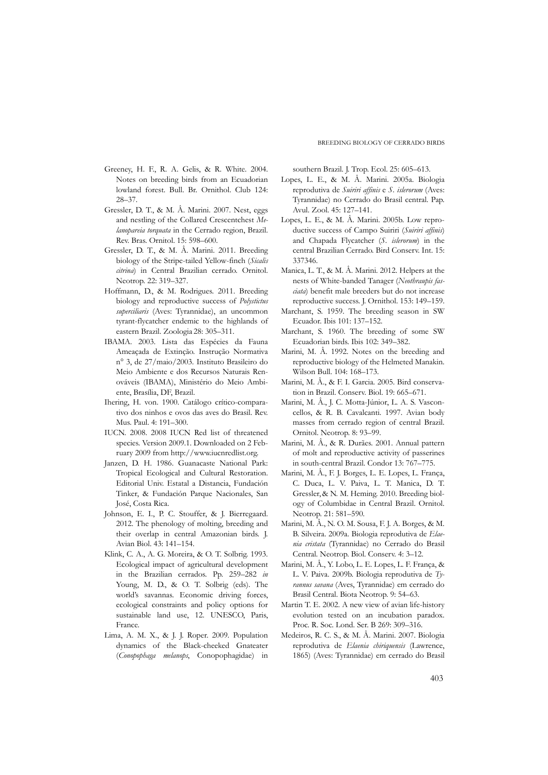- Greeney, H. F., R. A. Gelis, & R. White. 2004. Notes on breeding birds from an Ecuadorian lowland forest. Bull. Br. Ornithol. Club 124: 28–37.
- Gressler, D. T., & M. Â. Marini. 2007. Nest, eggs and nestling of the Collared Crescentchest *Melanopareia torquata* in the Cerrado region, Brazil. Rev. Bras. Ornitol. 15: 598–600.
- Gressler, D. T., & M. Â. Marini. 2011. Breeding biology of the Stripe-tailed Yellow-finch (*Sicalis citrina*) in Central Brazilian cerrado. Ornitol. Neotrop. 22: 319–327.
- Hoffmann, D., & M. Rodrigues. 2011. Breeding biology and reproductive success of *Polystictus superciliaris* (Aves: Tyrannidae), an uncommon tyrant-flycatcher endemic to the highlands of eastern Brazil. Zoologia 28: 305–311.
- IBAMA. 2003. Lista das Espécies da Fauna Ameaçada de Extinção. Instrução Normativa n° 3, de 27/maio/2003. Instituto Brasileiro do Meio Ambiente e dos Recursos Naturais Renováveis (IBAMA), Ministério do Meio Ambiente, Brasília, DF, Brazil.
- Ihering, H. von. 1900. Catálogo crítico-comparativo dos ninhos e ovos das aves do Brasil. Rev. Mus. Paul. 4: 191–300.
- IUCN. 2008. 2008 IUCN Red list of threatened species. Version 2009.1. Downloaded on 2 February 2009 from http://www.iucnredlist.org.
- Janzen, D. H. 1986. Guanacaste National Park: Tropical Ecological and Cultural Restoration. Editorial Univ. Estatal a Distancia, Fundación Tinker, & Fundación Parque Nacionales, San José, Costa Rica.
- Johnson, E. I., P. C. Stouffer, & J. Bierregaard. 2012. The phenology of molting, breeding and their overlap in central Amazonian birds. J. Avian Biol. 43: 141–154.
- Klink, C. A., A. G. Moreira, & O. T. Solbrig. 1993. Ecological impact of agricultural development in the Brazilian cerrados. Pp. 259–282 *in* Young, M. D., & O. T. Solbrig (eds). The world's savannas. Economic driving forces, ecological constraints and policy options for sustainable land use, 12. UNESCO, Paris, France.
- Lima, A. M. X., & J. J. Roper. 2009. Population dynamics of the Black-cheeked Gnateater (*Conopophaga melanops*, Conopophagidae) in

southern Brazil. J. Trop. Ecol. 25: 605–613.

- Lopes, L. E., & M. Â. Marini. 2005a. Biologia reprodutiva de *Suiriri affinis* e *S. islerorum* (Aves: Tyrannidae) no Cerrado do Brasil central. Pap. Avul. Zool. 45: 127–141.
- Lopes, L. E., & M. Â. Marini. 2005b. Low reproductive success of Campo Suiriri (*Suiriri affinis*) and Chapada Flycatcher (*S. islerorum*) in the central Brazilian Cerrado. Bird Conserv. Int. 15: 337346.
- Manica, L. T., & M. Â. Marini. 2012. Helpers at the nests of White-banded Tanager (*Neothraupis fasciata*) benefit male breeders but do not increase reproductive success. J. Ornithol. 153: 149–159.
- Marchant, S. 1959. The breeding season in SW Ecuador. Ibis 101: 137–152.
- Marchant, S. 1960. The breeding of some SW Ecuadorian birds. Ibis 102: 349–382.
- Marini, M. Â. 1992. Notes on the breeding and reproductive biology of the Helmeted Manakin. Wilson Bull. 104: 168–173.
- Marini, M. Â., & F. I. Garcia. 2005. Bird conservation in Brazil. Conserv. Biol. 19: 665–671.
- Marini, M. Â., J. C. Motta-Júnior, L. A. S. Vasconcellos, & R. B. Cavalcanti. 1997. Avian body masses from cerrado region of central Brazil. Ornitol. Neotrop. 8: 93–99.
- Marini, M. Â., & R. Durães. 2001. Annual pattern of molt and reproductive activity of passerines in south-central Brazil. Condor 13: 767–775.
- Marini, M. Â., F. J. Borges, L. E. Lopes, L. França, C. Duca, L. V. Paiva, L. T. Manica, D. T. Gressler,& N. M. Heming. 2010. Breeding biology of Columbidae in Central Brazil. Ornitol. Neotrop. 21: 581–590.
- Marini, M. Â., N. O. M. Sousa, F. J. A. Borges, & M. B. Silveira. 2009a. Biologia reprodutiva de *Elaenia cristata* (Tyrannidae) no Cerrado do Brasil Central. Neotrop. Biol. Conserv. 4: 3–12.
- Marini, M. Â., Y. Lobo, L. E. Lopes, L. F. França, & L. V. Paiva. 2009b. Biologia reprodutiva de *Tyrannus savana* (Aves, Tyrannidae) em cerrado do Brasil Central. Biota Neotrop. 9: 54–63.
- Martin T. E. 2002. A new view of avian life-history evolution tested on an incubation paradox. Proc. R. Soc. Lond. Ser. B 269: 309–316.
- Medeiros, R. C. S., & M. Â. Marini. 2007. Biologia reprodutiva de *Elaenia chiriquensis* (Lawrence, 1865) (Aves: Tyrannidae) em cerrado do Brasil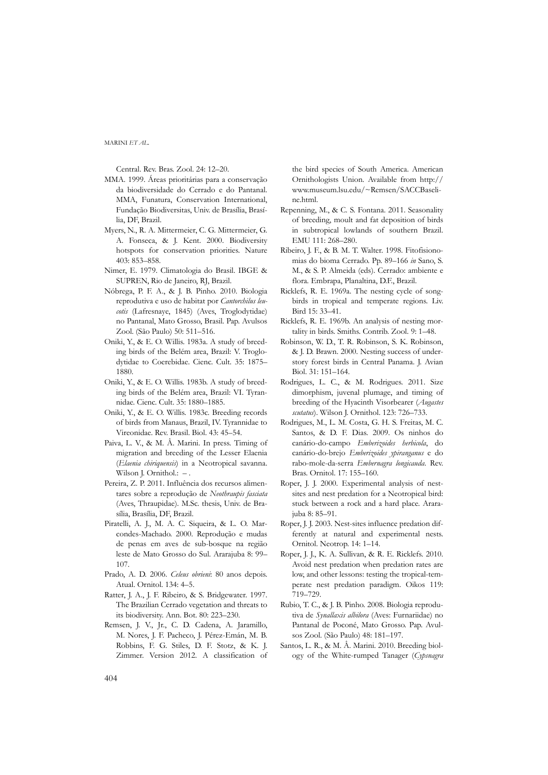Central. Rev. Bras. Zool. 24: 12–20.

- MMA. 1999. Áreas prioritárias para a conservação da biodiversidade do Cerrado e do Pantanal. MMA, Funatura, Conservation International, Fundação Biodiversitas, Univ. de Brasília, Brasília, DF, Brazil.
- Myers, N., R. A. Mittermeier, C. G. Mittermeier, G. A. Fonseca, & J. Kent. 2000. Biodiversity hotspots for conservation priorities. Nature 403: 853–858.
- Nimer, E. 1979. Climatologia do Brasil. IBGE & SUPREN, Rio de Janeiro, RJ, Brazil.
- Nóbrega, P. F. A., & J. B. Pinho. 2010. Biologia reprodutiva e uso de habitat por *Cantorchilus leucotis* (Lafresnaye, 1845) (Aves, Troglodytidae) no Pantanal, Mato Grosso, Brasil. Pap. Avulsos Zool. (São Paulo) 50: 511–516.
- Oniki, Y., & E. O. Willis. 1983a. A study of breeding birds of the Belém area, Brazil: V. Troglodytidae to Coerebidae. Cienc. Cult. 35: 1875– 1880.
- Oniki, Y., & E. O. Willis. 1983b. A study of breeding birds of the Belém area, Brazil: VI. Tyrannidae. Cienc. Cult. 35: 1880–1885.
- Oniki, Y., & E. O. Willis. 1983c. Breeding records of birds from Manaus, Brazil, IV. Tyrannidae to Vireonidae. Rev. Brasil. Biol. 43: 45–54.
- Paiva, L. V., & M. Â. Marini. In press. Timing of migration and breeding of the Lesser Elaenia (*Elaenia chiriquensis*) in a Neotropical savanna. Wilson J. Ornithol.: *– .*
- Pereira, Z. P. 2011. Influência dos recursos alimentares sobre a reprodução de *Neothraupis fasciata* (Aves, Thraupidae). M.Sc. thesis, Univ. de Brasília, Brasília, DF, Brazil.
- Piratelli, A. J., M. A. C. Siqueira, & L. O. Marcondes-Machado. 2000. Reprodução e mudas de penas em aves de sub-bosque na região leste de Mato Grosso do Sul. Ararajuba 8: 99– 107.
- Prado, A. D. 2006. *Celeus obrieni*: 80 anos depois. Atual. Ornitol. 134: 4–5.
- Ratter, J. A., J. F. Ribeiro, & S. Bridgewater. 1997. The Brazilian Cerrado vegetation and threats to its biodiversity. Ann. Bot. 80: 223–230.
- Remsen, J. V., Jr., C. D. Cadena, A. Jaramillo, M. Nores, J. F. Pacheco, J. Pérez-Emán, M. B. Robbins, F. G. Stiles, D. F. Stotz, & K. J. Zimmer. Version 2012. A classification of

the bird species of South America. American Ornithologists Union. Available from http:// www.museum.lsu.edu/~Remsen/SACCBaseline.html.

- Repenning, M., & C. S. Fontana. 2011. Seasonality of breeding, moult and fat deposition of birds in subtropical lowlands of southern Brazil. EMU 111: 268–280.
- Ribeiro, J. F., & B. M. T. Walter. 1998. Fitofisionomias do bioma Cerrado. Pp. 89–166 *in* Sano, S. M., & S. P. Almeida (eds). Cerrado: ambiente e flora*.* Embrapa, Planaltina, D.F., Brazil.
- Ricklefs, R. E. 1969a. The nesting cycle of songbirds in tropical and temperate regions. Liv. Bird 15: 33–41.
- Ricklefs, R. E. 1969b. An analysis of nesting mortality in birds. Smiths. Contrib. Zool. 9: 1–48.
- Robinson, W. D., T. R. Robinson, S. K. Robinson, & J. D. Brawn. 2000. Nesting success of understory forest birds in Central Panama. J. Avian Biol. 31: 151–164.
- Rodrigues, L. C., & M. Rodrigues. 2011. Size dimorphism, juvenal plumage, and timing of breeding of the Hyacinth Visorbearer (*Augastes scutatus*). Wilson J. Ornithol. 123: 726–733.
- Rodrigues, M., L. M. Costa, G. H. S. Freitas, M. C. Santos, & D. F. Dias. 2009. Os ninhos do canário-do-campo *Emberizoides herbicola*, do canário-do-brejo *Emberizoides ypiranganus* e do rabo-mole-da-serra *Embernagra longicauda*. Rev. Bras. Ornitol. 17: 155–160.
- Roper, J. J. 2000. Experimental analysis of nestsites and nest predation for a Neotropical bird: stuck between a rock and a hard place. Ararajuba 8: 85–91.
- Roper, J. J. 2003. Nest-sites influence predation differently at natural and experimental nests. Ornitol. Neotrop. 14: 1–14.
- Roper, J. J., K. A. Sullivan, & R. E. Ricklefs. 2010. Avoid nest predation when predation rates are low, and other lessons: testing the tropical-temperate nest predation paradigm. Oikos 119: 719–729.
- Rubio, T. C., & J. B. Pinho. 2008. Biologia reprodutiva de *Synallaxis albilora* (Aves: Furnariidae) no Pantanal de Poconé, Mato Grosso. Pap. Avulsos Zool. (São Paulo) 48: 181–197.
- Santos, L. R., & M. Â. Marini. 2010. Breeding biology of the White-rumped Tanager (*Cypsnagra*